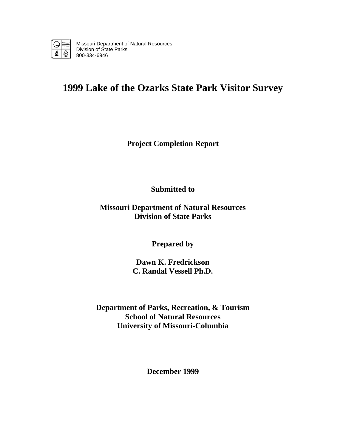

Missouri Department of Natural Resources Division of State Parks 800-334-6946

# **1999 Lake of the Ozarks State Park Visitor Survey**

**Project Completion Report** 

**Submitted to** 

**Missouri Department of Natural Resources Division of State Parks** 

**Prepared by** 

**Dawn K. Fredrickson C. Randal Vessell Ph.D.** 

**Department of Parks, Recreation, & Tourism School of Natural Resources University of Missouri-Columbia** 

**December 1999**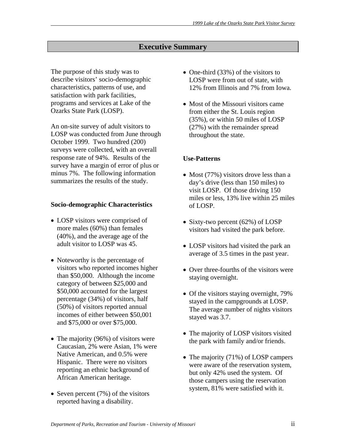# **Executive Summary**

The purpose of this study was to describe visitors' socio-demographic characteristics, patterns of use, and satisfaction with park facilities, programs and services at Lake of the Ozarks State Park (LOSP).

An on-site survey of adult visitors to LOSP was conducted from June through October 1999. Two hundred (200) surveys were collected, with an overall response rate of 94%. Results of the survey have a margin of error of plus or minus 7%. The following information summarizes the results of the study.

### **Socio-demographic Characteristics**

- LOSP visitors were comprised of more males (60%) than females (40%), and the average age of the adult visitor to LOSP was 45.
- Noteworthy is the percentage of visitors who reported incomes higher than \$50,000. Although the income category of between \$25,000 and \$50,000 accounted for the largest percentage (34%) of visitors, half (50%) of visitors reported annual incomes of either between \$50,001 and \$75,000 or over \$75,000.
- The majority (96%) of visitors were Caucasian, 2% were Asian, 1% were Native American, and 0.5% were Hispanic. There were no visitors reporting an ethnic background of African American heritage.
- Seven percent (7%) of the visitors reported having a disability.
- One-third (33%) of the visitors to LOSP were from out of state, with 12% from Illinois and 7% from Iowa.
- Most of the Missouri visitors came from either the St. Louis region (35%), or within 50 miles of LOSP (27%) with the remainder spread throughout the state.

# **Use-Patterns**

- Most (77%) visitors drove less than a day's drive (less than 150 miles) to visit LOSP. Of those driving 150 miles or less, 13% live within 25 miles of LOSP.
- Sixty-two percent (62%) of LOSP visitors had visited the park before.
- LOSP visitors had visited the park an average of 3.5 times in the past year.
- Over three-fourths of the visitors were staying overnight.
- Of the visitors staying overnight, 79% stayed in the campgrounds at LOSP. The average number of nights visitors stayed was 3.7.
- The majority of LOSP visitors visited the park with family and/or friends.
- The majority (71%) of LOSP campers were aware of the reservation system, but only 42% used the system. Of those campers using the reservation system, 81% were satisfied with it.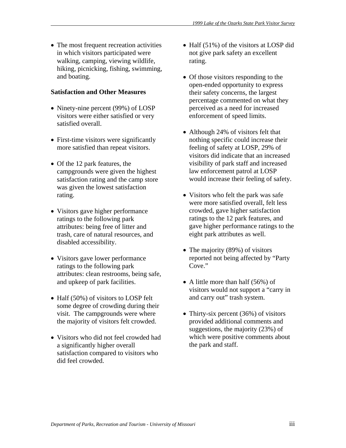• The most frequent recreation activities in which visitors participated were walking, camping, viewing wildlife, hiking, picnicking, fishing, swimming, and boating.

### **Satisfaction and Other Measures**

- Ninety-nine percent (99%) of LOSP visitors were either satisfied or very satisfied overall.
- First-time visitors were significantly more satisfied than repeat visitors.
- Of the 12 park features, the campgrounds were given the highest satisfaction rating and the camp store was given the lowest satisfaction rating.
- Visitors gave higher performance ratings to the following park attributes: being free of litter and trash, care of natural resources, and disabled accessibility.
- Visitors gave lower performance ratings to the following park attributes: clean restrooms, being safe, and upkeep of park facilities.
- Half (50%) of visitors to LOSP felt some degree of crowding during their visit. The campgrounds were where the majority of visitors felt crowded.
- Visitors who did not feel crowded had a significantly higher overall satisfaction compared to visitors who did feel crowded.
- Half (51%) of the visitors at LOSP did not give park safety an excellent rating.
- Of those visitors responding to the open-ended opportunity to express their safety concerns, the largest percentage commented on what they perceived as a need for increased enforcement of speed limits.
- Although 24% of visitors felt that nothing specific could increase their feeling of safety at LOSP, 29% of visitors did indicate that an increased visibility of park staff and increased law enforcement patrol at LOSP would increase their feeling of safety.
- Visitors who felt the park was safe were more satisfied overall, felt less crowded, gave higher satisfaction ratings to the 12 park features, and gave higher performance ratings to the eight park attributes as well.
- The majority (89%) of visitors reported not being affected by "Party Cove."
- A little more than half (56%) of visitors would not support a "carry in and carry out" trash system.
- Thirty-six percent (36%) of visitors provided additional comments and suggestions, the majority (23%) of which were positive comments about the park and staff.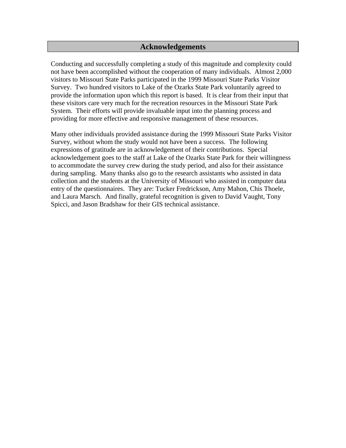## **Acknowledgements**

Conducting and successfully completing a study of this magnitude and complexity could not have been accomplished without the cooperation of many individuals. Almost 2,000 visitors to Missouri State Parks participated in the 1999 Missouri State Parks Visitor Survey. Two hundred visitors to Lake of the Ozarks State Park voluntarily agreed to provide the information upon which this report is based. It is clear from their input that these visitors care very much for the recreation resources in the Missouri State Park System. Their efforts will provide invaluable input into the planning process and providing for more effective and responsive management of these resources.

Many other individuals provided assistance during the 1999 Missouri State Parks Visitor Survey, without whom the study would not have been a success. The following expressions of gratitude are in acknowledgement of their contributions. Special acknowledgement goes to the staff at Lake of the Ozarks State Park for their willingness to accommodate the survey crew during the study period, and also for their assistance during sampling. Many thanks also go to the research assistants who assisted in data collection and the students at the University of Missouri who assisted in computer data entry of the questionnaires. They are: Tucker Fredrickson, Amy Mahon, Chis Thoele, and Laura Marsch. And finally, grateful recognition is given to David Vaught, Tony Spicci, and Jason Bradshaw for their GIS technical assistance.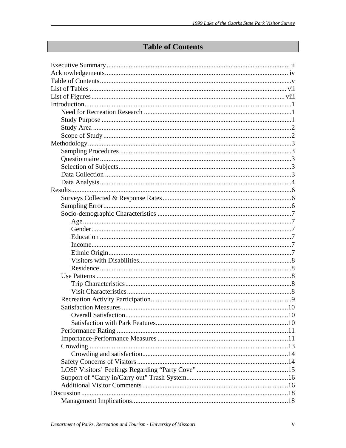# **Table of Contents**

| $Income \dots 17$ |  |
|-------------------|--|
|                   |  |
|                   |  |
|                   |  |
|                   |  |
|                   |  |
|                   |  |
|                   |  |
|                   |  |
|                   |  |
|                   |  |
|                   |  |
|                   |  |
|                   |  |
|                   |  |
|                   |  |
|                   |  |
|                   |  |
|                   |  |
|                   |  |
|                   |  |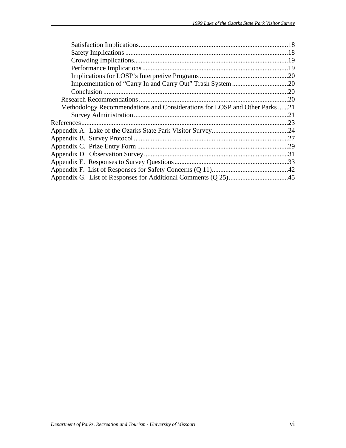| Methodology Recommendations and Considerations for LOSP and Other Parks21 |  |
|---------------------------------------------------------------------------|--|
|                                                                           |  |
|                                                                           |  |
|                                                                           |  |
|                                                                           |  |
|                                                                           |  |
|                                                                           |  |
|                                                                           |  |
|                                                                           |  |
|                                                                           |  |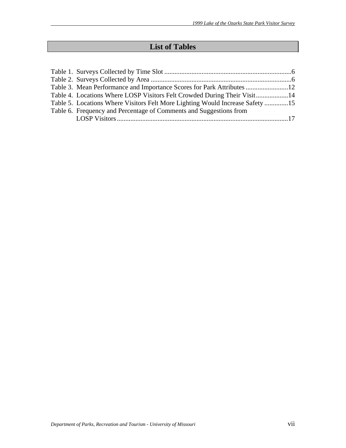# **List of Tables**

| Table 3. Mean Performance and Importance Scores for Park Attributes 12        |  |
|-------------------------------------------------------------------------------|--|
| Table 4. Locations Where LOSP Visitors Felt Crowded During Their Visit14      |  |
| Table 5. Locations Where Visitors Felt More Lighting Would Increase Safety 15 |  |
| Table 6. Frequency and Percentage of Comments and Suggestions from            |  |
|                                                                               |  |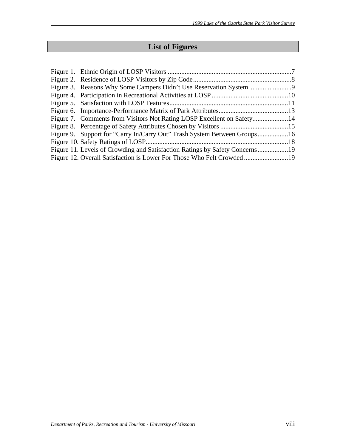# **List of Figures**

| Figure 9. Support for "Carry In/Carry Out" Trash System Between Groups16 |  |
|--------------------------------------------------------------------------|--|
|                                                                          |  |
|                                                                          |  |
|                                                                          |  |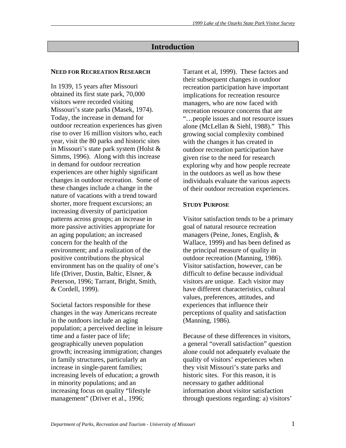# **Introduction**

### **NEED FOR RECREATION RESEARCH**

In 1939, 15 years after Missouri obtained its first state park, 70,000 visitors were recorded visiting Missouri's state parks (Masek, 1974). Today, the increase in demand for outdoor recreation experiences has given rise to over 16 million visitors who, each year, visit the 80 parks and historic sites in Missouri's state park system (Holst & Simms, 1996). Along with this increase in demand for outdoor recreation experiences are other highly significant changes in outdoor recreation. Some of these changes include a change in the nature of vacations with a trend toward shorter, more frequent excursions; an increasing diversity of participation patterns across groups; an increase in more passive activities appropriate for an aging population; an increased concern for the health of the environment; and a realization of the positive contributions the physical environment has on the quality of one's life (Driver, Dustin, Baltic, Elsner, & Peterson, 1996; Tarrant, Bright, Smith, & Cordell, 1999).

Societal factors responsible for these changes in the way Americans recreate in the outdoors include an aging population; a perceived decline in leisure time and a faster pace of life; geographically uneven population growth; increasing immigration; changes in family structures, particularly an increase in single-parent families; increasing levels of education; a growth in minority populations; and an increasing focus on quality "lifestyle management" (Driver et al., 1996;

Tarrant et al, 1999). These factors and their subsequent changes in outdoor recreation participation have important implications for recreation resource managers, who are now faced with recreation resource concerns that are "…people issues and not resource issues alone (McLellan & Siehl, 1988)." This growing social complexity combined with the changes it has created in outdoor recreation participation have given rise to the need for research exploring why and how people recreate in the outdoors as well as how these individuals evaluate the various aspects of their outdoor recreation experiences.

### **STUDY PURPOSE**

Visitor satisfaction tends to be a primary goal of natural resource recreation managers (Peine, Jones, English, & Wallace, 1999) and has been defined as the principal measure of quality in outdoor recreation (Manning, 1986). Visitor satisfaction, however, can be difficult to define because individual visitors are unique. Each visitor may have different characteristics, cultural values, preferences, attitudes, and experiences that influence their perceptions of quality and satisfaction (Manning, 1986).

Because of these differences in visitors, a general "overall satisfaction" question alone could not adequately evaluate the quality of visitors' experiences when they visit Missouri's state parks and historic sites. For this reason, it is necessary to gather additional information about visitor satisfaction through questions regarding: a) visitors'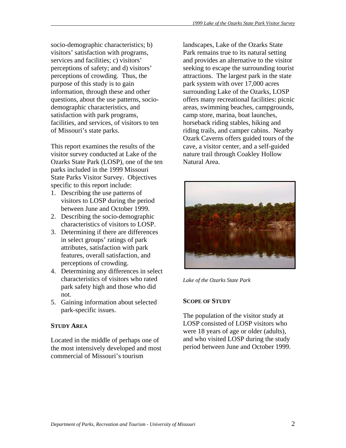socio-demographic characteristics; b) visitors' satisfaction with programs, services and facilities; c) visitors' perceptions of safety; and d) visitors' perceptions of crowding. Thus, the purpose of this study is to gain information, through these and other questions, about the use patterns, sociodemographic characteristics, and satisfaction with park programs, facilities, and services, of visitors to ten of Missouri's state parks.

This report examines the results of the visitor survey conducted at Lake of the Ozarks State Park (LOSP), one of the ten parks included in the 1999 Missouri State Parks Visitor Survey. Objectives specific to this report include:

- 1. Describing the use patterns of visitors to LOSP during the period between June and October 1999.
- 2. Describing the socio-demographic characteristics of visitors to LOSP.
- 3. Determining if there are differences in select groups' ratings of park attributes, satisfaction with park features, overall satisfaction, and perceptions of crowding.
- 4. Determining any differences in select characteristics of visitors who rated park safety high and those who did not.
- 5. Gaining information about selected park-specific issues.

# **STUDY AREA**

Located in the middle of perhaps one of the most intensively developed and most commercial of Missouri's tourism

landscapes, Lake of the Ozarks State Park remains true to its natural setting and provides an alternative to the visitor seeking to escape the surrounding tourist attractions. The largest park in the state park system with over 17,000 acres surrounding Lake of the Ozarks, LOSP offers many recreational facilities: picnic areas, swimming beaches, campgrounds, camp store, marina, boat launches, horseback riding stables, hiking and riding trails, and camper cabins. Nearby Ozark Caverns offers guided tours of the cave, a visitor center, and a self-guided nature trail through Coakley Hollow Natural Area.



*Lake of the Ozarks State Park*

## **SCOPE OF STUDY**

The population of the visitor study at LOSP consisted of LOSP visitors who were 18 years of age or older (adults), and who visited LOSP during the study period between June and October 1999.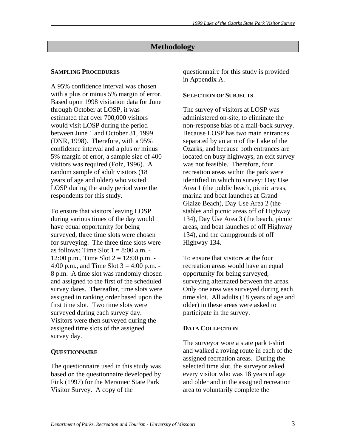# **Methodology**

## **SAMPLING PROCEDURES**

A 95% confidence interval was chosen with a plus or minus 5% margin of error. Based upon 1998 visitation data for June through October at LOSP, it was estimated that over 700,000 visitors would visit LOSP during the period between June 1 and October 31, 1999 (DNR, 1998). Therefore, with a 95% confidence interval and a plus or minus 5% margin of error, a sample size of 400 visitors was required (Folz, 1996). A random sample of adult visitors (18 years of age and older) who visited LOSP during the study period were the respondents for this study.

To ensure that visitors leaving LOSP during various times of the day would have equal opportunity for being surveyed, three time slots were chosen for surveying. The three time slots were as follows: Time Slot  $1 = 8:00$  a.m. -12:00 p.m., Time Slot  $2 = 12:00$  p.m. -4:00 p.m., and Time Slot  $3 = 4:00$  p.m. -8 p.m. A time slot was randomly chosen and assigned to the first of the scheduled survey dates. Thereafter, time slots were assigned in ranking order based upon the first time slot. Two time slots were surveyed during each survey day. Visitors were then surveyed during the assigned time slots of the assigned survey day.

## **QUESTIONNAIRE**

The questionnaire used in this study was based on the questionnaire developed by Fink (1997) for the Meramec State Park Visitor Survey. A copy of the

questionnaire for this study is provided in Appendix A.

### **SELECTION OF SUBJECTS**

The survey of visitors at LOSP was administered on-site, to eliminate the non-response bias of a mail-back survey. Because LOSP has two main entrances separated by an arm of the Lake of the Ozarks, and because both entrances are located on busy highways, an exit survey was not feasible. Therefore, four recreation areas within the park were identified in which to survey: Day Use Area 1 (the public beach, picnic areas, marina and boat launches at Grand Glaize Beach), Day Use Area 2 (the stables and picnic areas off of Highway 134), Day Use Area 3 (the beach, picnic areas, and boat launches of off Highway 134), and the campgrounds of off Highway 134.

To ensure that visitors at the four recreation areas would have an equal opportunity for being surveyed, surveying alternated between the areas. Only one area was surveyed during each time slot. All adults (18 years of age and older) in these areas were asked to participate in the survey.

## **DATA COLLECTION**

The surveyor wore a state park t-shirt and walked a roving route in each of the assigned recreation areas. During the selected time slot, the surveyor asked every visitor who was 18 years of age and older and in the assigned recreation area to voluntarily complete the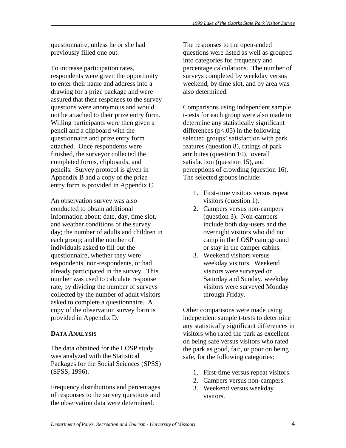questionnaire, unless he or she had previously filled one out.

To increase participation rates, respondents were given the opportunity to enter their name and address into a drawing for a prize package and were assured that their responses to the survey questions were anonymous and would not be attached to their prize entry form. Willing participants were then given a pencil and a clipboard with the questionnaire and prize entry form attached. Once respondents were finished, the surveyor collected the completed forms, clipboards, and pencils. Survey protocol is given in Appendix B and a copy of the prize entry form is provided in Appendix C.

An observation survey was also conducted to obtain additional information about: date, day, time slot, and weather conditions of the survey day; the number of adults and children in each group; and the number of individuals asked to fill out the questionnaire, whether they were respondents, non-respondents, or had already participated in the survey. This number was used to calculate response rate, by dividing the number of surveys collected by the number of adult visitors asked to complete a questionnaire. A copy of the observation survey form is provided in Appendix D.

## **DATA ANALYSIS**

The data obtained for the LOSP study was analyzed with the Statistical Packages for the Social Sciences (SPSS) (SPSS, 1996).

Frequency distributions and percentages of responses to the survey questions and the observation data were determined.

The responses to the open-ended questions were listed as well as grouped into categories for frequency and percentage calculations. The number of surveys completed by weekday versus weekend, by time slot, and by area was also determined.

Comparisons using independent sample t-tests for each group were also made to determine any statistically significant differences  $(p<.05)$  in the following selected groups' satisfaction with park features (question 8), ratings of park attributes (question 10), overall satisfaction (question 15), and perceptions of crowding (question 16). The selected groups include:

- 1. First-time visitors versus repeat visitors (question 1).
- 2. Campers versus non-campers (question 3). Non-campers include both day-users and the overnight visitors who did not camp in the LOSP campground or stay in the camper cabins.
- 3. Weekend visitors versus weekday visitors. Weekend visitors were surveyed on Saturday and Sunday, weekday visitors were surveyed Monday through Friday.

Other comparisons were made using independent sample t-tests to determine any statistically significant differences in visitors who rated the park as excellent on being safe versus visitors who rated the park as good, fair, or poor on being safe, for the following categories:

- 1. First-time versus repeat visitors.
- 2. Campers versus non-campers.
- 3. Weekend versus weekday visitors.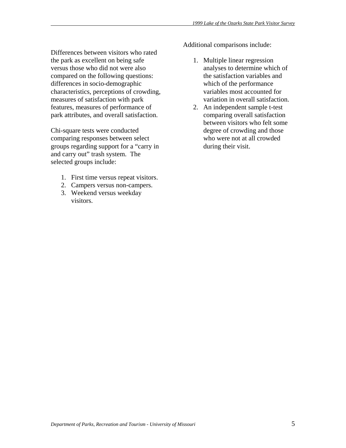Differences between visitors who rated the park as excellent on being safe versus those who did not were also compared on the following questions: differences in socio-demographic characteristics, perceptions of crowding, measures of satisfaction with park features, measures of performance of park attributes, and overall satisfaction.

Chi-square tests were conducted comparing responses between select groups regarding support for a "carry in and carry out" trash system. The selected groups include:

- 1. First time versus repeat visitors.
- 2. Campers versus non-campers.
- 3. Weekend versus weekday visitors.

Additional comparisons include:

- 1. Multiple linear regression analyses to determine which of the satisfaction variables and which of the performance variables most accounted for variation in overall satisfaction.
- 2. An independent sample t-test comparing overall satisfaction between visitors who felt some degree of crowding and those who were not at all crowded during their visit.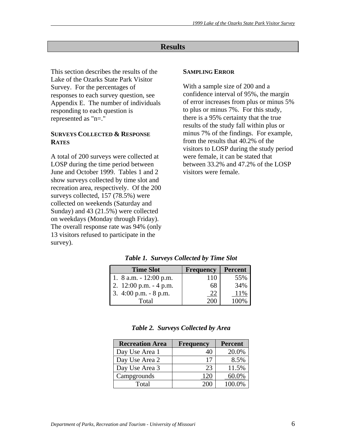# **Results**

This section describes the results of the Lake of the Ozarks State Park Visitor Survey. For the percentages of responses to each survey question, see Appendix E. The number of individuals responding to each question is represented as "n=."

### **SURVEYS COLLECTED & RESPONSE RATES**

A total of 200 surveys were collected at LOSP during the time period between June and October 1999. Tables 1 and 2 show surveys collected by time slot and recreation area, respectively. Of the 200 surveys collected, 157 (78.5%) were collected on weekends (Saturday and Sunday) and 43 (21.5%) were collected on weekdays (Monday through Friday). The overall response rate was 94% (only 13 visitors refused to participate in the survey).

### **SAMPLING ERROR**

With a sample size of 200 and a confidence interval of 95%, the margin of error increases from plus or minus 5% to plus or minus 7%. For this study, there is a 95% certainty that the true results of the study fall within plus or minus 7% of the findings. For example, from the results that 40.2% of the visitors to LOSP during the study period were female, it can be stated that between 33.2% and 47.2% of the LOSP visitors were female.

| <b>Time Slot</b>          | <b>Frequency</b> | <b>Percent</b> |
|---------------------------|------------------|----------------|
| 1. 8 a.m. $-12:00$ p.m.   | 110              | 55%            |
| 2. $12:00$ p.m. $-4$ p.m. | 68               | 34%            |
| 3. 4:00 p.m. $-8$ p.m.    | 22               | 11%            |
| Total                     | 200              | 100%           |

*Table 1. Surveys Collected by Time Slot* 

|  |  | Table 2. Surveys Collected by Area |  |
|--|--|------------------------------------|--|
|--|--|------------------------------------|--|

| <b>Recreation Area</b> | <b>Frequency</b> | <b>Percent</b> |
|------------------------|------------------|----------------|
| Day Use Area 1         |                  | 20.0%          |
| Day Use Area 2         | 17               | 8.5%           |
| Day Use Area 3         | 23               | 11.5%          |
| Campgrounds            |                  | 60.0%          |
| Total                  |                  | 100.0%         |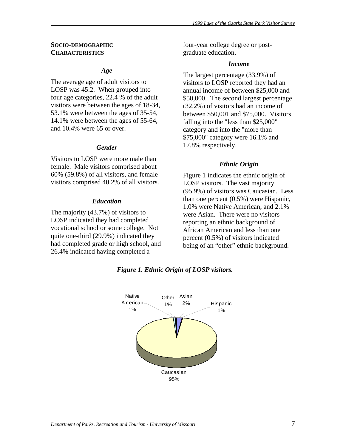### **SOCIO-DEMOGRAPHIC CHARACTERISTICS**

### *Age*

The average age of adult visitors to LOSP was 45.2. When grouped into four age categories, 22.4 % of the adult visitors were between the ages of 18-34, 53.1% were between the ages of 35-54, 14.1% were between the ages of 55-64, and 10.4% were 65 or over.

### *Gender*

Visitors to LOSP were more male than female. Male visitors comprised about 60% (59.8%) of all visitors, and female visitors comprised 40.2% of all visitors.

### *Education*

The majority (43.7%) of visitors to LOSP indicated they had completed vocational school or some college. Not quite one-third (29.9%) indicated they had completed grade or high school, and 26.4% indicated having completed a

four-year college degree or postgraduate education.

### *Income*

The largest percentage (33.9%) of visitors to LOSP reported they had an annual income of between \$25,000 and \$50,000. The second largest percentage (32.2%) of visitors had an income of between \$50,001 and \$75,000. Visitors falling into the "less than \$25,000" category and into the "more than \$75,000" category were 16.1% and 17.8% respectively.

### *Ethnic Origin*

Figure 1 indicates the ethnic origin of LOSP visitors. The vast majority (95.9%) of visitors was Caucasian. Less than one percent (0.5%) were Hispanic, 1.0% were Native American, and 2.1% were Asian. There were no visitors reporting an ethnic background of African American and less than one percent (0.5%) of visitors indicated being of an "other" ethnic background.



### *Figure 1. Ethnic Origin of LOSP visitors.*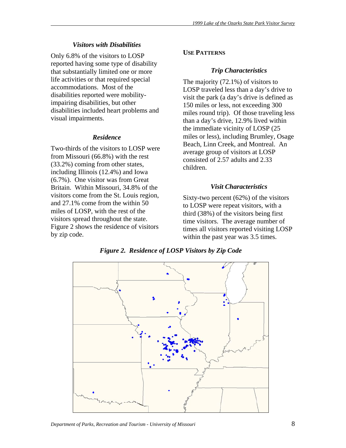## *Visitors with Disabilities*

Only 6.8% of the visitors to LOSP reported having some type of disability that substantially limited one or more life activities or that required special accommodations. Most of the disabilities reported were mobilityimpairing disabilities, but other disabilities included heart problems and visual impairments.

### *Residence*

Two-thirds of the visitors to LOSP were from Missouri (66.8%) with the rest (33.2%) coming from other states, including Illinois (12.4%) and Iowa (6.7%). One visitor was from Great Britain. Within Missouri, 34.8% of the visitors come from the St. Louis region, and 27.1% come from the within 50 miles of LOSP, with the rest of the visitors spread throughout the state. Figure 2 shows the residence of visitors by zip code.

## **USE PATTERNS**

### *Trip Characteristics*

The majority (72.1%) of visitors to LOSP traveled less than a day's drive to visit the park (a day's drive is defined as 150 miles or less, not exceeding 300 miles round trip). Of those traveling less than a day's drive, 12.9% lived within the immediate vicinity of LOSP (25 miles or less), including Brumley, Osage Beach, Linn Creek, and Montreal. An average group of visitors at LOSP consisted of 2.57 adults and 2.33 children.

### *Visit Characteristics*

Sixty-two percent (62%) of the visitors to LOSP were repeat visitors, with a third (38%) of the visitors being first time visitors. The average number of times all visitors reported visiting LOSP within the past year was 3.5 times.



*Figure 2. Residence of LOSP Visitors by Zip Code*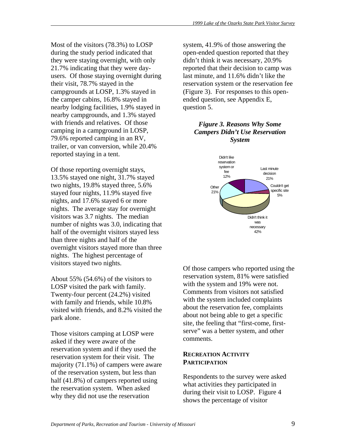Most of the visitors (78.3%) to LOSP during the study period indicated that they were staying overnight, with only 21.7% indicating that they were dayusers. Of those staying overnight during their visit, 78.7% stayed in the campgrounds at LOSP, 1.3% stayed in the camper cabins, 16.8% stayed in nearby lodging facilities, 1.9% stayed in nearby campgrounds, and 1.3% stayed with friends and relatives. Of those camping in a campground in LOSP, 79.6% reported camping in an RV, trailer, or van conversion, while 20.4% reported staying in a tent.

Of those reporting overnight stays, 13.5% stayed one night, 31.7% stayed two nights, 19.8% stayed three, 5.6% stayed four nights, 11.9% stayed five nights, and 17.6% stayed 6 or more nights. The average stay for overnight visitors was 3.7 nights. The median number of nights was 3.0, indicating that half of the overnight visitors stayed less than three nights and half of the overnight visitors stayed more than three nights. The highest percentage of visitors stayed two nights.

About 55% (54.6%) of the visitors to LOSP visited the park with family. Twenty-four percent (24.2%) visited with family and friends, while 10.8% visited with friends, and 8.2% visited the park alone.

Those visitors camping at LOSP were asked if they were aware of the reservation system and if they used the reservation system for their visit. The majority (71.1%) of campers were aware of the reservation system, but less than half (41.8%) of campers reported using the reservation system. When asked why they did not use the reservation

system, 41.9% of those answering the open-ended question reported that they didn't think it was necessary, 20.9% reported that their decision to camp was last minute, and 11.6% didn't like the reservation system or the reservation fee (Figure 3). For responses to this openended question, see Appendix E, question 5.

## *Figure 3. Reasons Why Some Campers Didn't Use Reservation System*



Of those campers who reported using the reservation system, 81% were satisfied with the system and 19% were not. Comments from visitors not satisfied with the system included complaints about the reservation fee, complaints about not being able to get a specific site, the feeling that "first-come, firstserve" was a better system, and other comments.

### **RECREATION ACTIVITY PARTICIPATION**

Respondents to the survey were asked what activities they participated in during their visit to LOSP. Figure 4 shows the percentage of visitor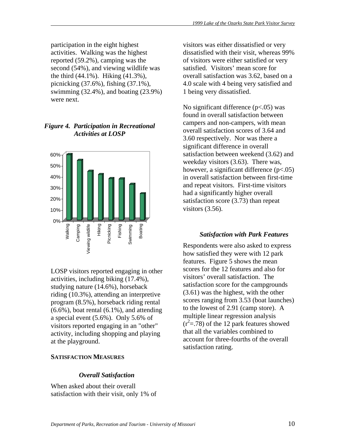participation in the eight highest activities. Walking was the highest reported (59.2%), camping was the second (54%), and viewing wildlife was the third (44.1%). Hiking (41.3%), picnicking (37.6%), fishing (37.1%), swimming (32.4%), and boating (23.9%) were next.

# *Figure 4. Participation in Recreational Activities at LOSP*



LOSP visitors reported engaging in other activities, including biking (17.4%), studying nature (14.6%), horseback riding (10.3%), attending an interpretive program (8.5%), horseback riding rental  $(6.6\%)$ , boat rental  $(6.1\%)$ , and attending a special event (5.6%). Only 5.6% of visitors reported engaging in an "other" activity, including shopping and playing at the playground.

### **SATISFACTION MEASURES**

### *Overall Satisfaction*

When asked about their overall satisfaction with their visit, only 1% of visitors was either dissatisfied or very dissatisfied with their visit, whereas 99% of visitors were either satisfied or very satisfied. Visitors' mean score for overall satisfaction was 3.62, based on a 4.0 scale with 4 being very satisfied and 1 being very dissatisfied.

No significant difference  $(p<.05)$  was found in overall satisfaction between campers and non-campers, with mean overall satisfaction scores of 3.64 and 3.60 respectively. Nor was there a significant difference in overall satisfaction between weekend (3.62) and weekday visitors (3.63). There was, however, a significant difference ( $p$ <.05) in overall satisfaction between first-time and repeat visitors. First-time visitors had a significantly higher overall satisfaction score (3.73) than repeat visitors (3.56).

## *Satisfaction with Park Features*

Respondents were also asked to express how satisfied they were with 12 park features. Figure 5 shows the mean scores for the 12 features and also for visitors' overall satisfaction. The satisfaction score for the campgrounds (3.61) was the highest, with the other scores ranging from 3.53 (boat launches) to the lowest of 2.91 (camp store). A multiple linear regression analysis  $(r<sup>2</sup>=.78)$  of the 12 park features showed that all the variables combined to account for three-fourths of the overall satisfaction rating.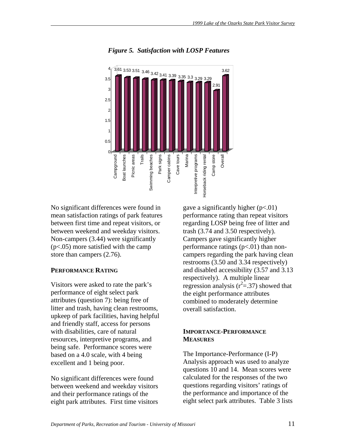

*Figure 5. Satisfaction with LOSP Features* 

No significant differences were found in mean satisfaction ratings of park features between first time and repeat visitors, or between weekend and weekday visitors. Non-campers (3.44) were significantly (p<.05) more satisfied with the camp store than campers (2.76).

### **PERFORMANCE RATING**

Visitors were asked to rate the park's performance of eight select park attributes (question 7): being free of litter and trash, having clean restrooms, upkeep of park facilities, having helpful and friendly staff, access for persons with disabilities, care of natural resources, interpretive programs, and being safe. Performance scores were based on a 4.0 scale, with 4 being excellent and 1 being poor.

No significant differences were found between weekend and weekday visitors and their performance ratings of the eight park attributes. First time visitors gave a significantly higher  $(p<.01)$ performance rating than repeat visitors regarding LOSP being free of litter and trash (3.74 and 3.50 respectively). Campers gave significantly higher performance ratings  $(p<.01)$  than noncampers regarding the park having clean restrooms (3.50 and 3.34 respectively) and disabled accessibility (3.57 and 3.13 respectively). A multiple linear regression analysis  $(r^2 = .37)$  showed that the eight performance attributes combined to moderately determine overall satisfaction.

### **IMPORTANCE-PERFORMANCE MEASURES**

The Importance-Performance (I-P) Analysis approach was used to analyze questions 10 and 14. Mean scores were calculated for the responses of the two questions regarding visitors' ratings of the performance and importance of the eight select park attributes. Table 3 lists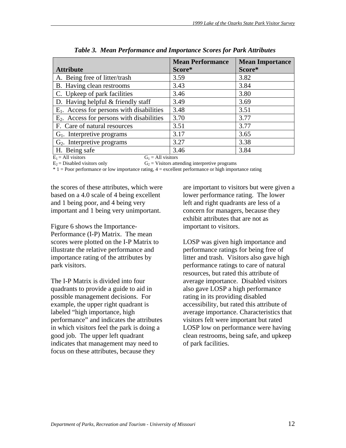|                                                               | <b>Mean Performance</b> | <b>Mean Importance</b> |
|---------------------------------------------------------------|-------------------------|------------------------|
| <b>Attribute</b>                                              | Score*                  | Score*                 |
| A. Being free of litter/trash                                 | 3.59                    | 3.82                   |
| B. Having clean restrooms                                     | 3.43                    | 3.84                   |
| C. Upkeep of park facilities                                  | 3.46                    | 3.80                   |
| D. Having helpful $&$ friendly staff                          | 3.49                    | 3.69                   |
| $E_1$ . Access for persons with disabilities                  | 3.48                    | 3.51                   |
| $E2$ . Access for persons with disabilities                   | 3.70                    | 3.77                   |
| F. Care of natural resources                                  | 3.51                    | 3.77                   |
| $G1$ . Interpretive programs                                  | 3.17                    | 3.65                   |
| $G2$ . Interpretive programs                                  | 3.27                    | 3.38                   |
| H. Being safe                                                 | 3.46                    | 3.84                   |
| $E = \Delta U$ vicitors<br>$G = \Lambda \mathbf{11}$ vicitors |                         |                        |

 $E_1$  = All visitors  $G_1$  = All visitors

 $E_2$  = Disabled visitors only  $G_2$  = Visitors attending interpretive programs

\* 1 = Poor performance or low importance rating, 4 = excellent performance or high importance rating

the scores of these attributes, which were based on a 4.0 scale of 4 being excellent and 1 being poor, and 4 being very important and 1 being very unimportant.

Figure 6 shows the Importance-Performance (I-P) Matrix. The mean scores were plotted on the I-P Matrix to illustrate the relative performance and importance rating of the attributes by park visitors.

The I-P Matrix is divided into four quadrants to provide a guide to aid in possible management decisions. For example, the upper right quadrant is labeled "high importance, high performance" and indicates the attributes in which visitors feel the park is doing a good job. The upper left quadrant indicates that management may need to focus on these attributes, because they

are important to visitors but were given a lower performance rating. The lower left and right quadrants are less of a concern for managers, because they exhibit attributes that are not as important to visitors.

LOSP was given high importance and performance ratings for being free of litter and trash. Visitors also gave high performance ratings to care of natural resources, but rated this attribute of average importance. Disabled visitors also gave LOSP a high performance rating in its providing disabled accessibility, but rated this attribute of average importance. Characteristics that visitors felt were important but rated LOSP low on performance were having clean restrooms, being safe, and upkeep of park facilities.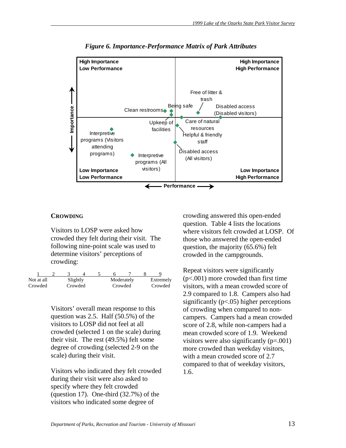

*Figure 6. Importance-Performance Matrix of Park Attributes* 

### **CROWDING**

Visitors to LOSP were asked how crowded they felt during their visit. The following nine-point scale was used to determine visitors' perceptions of crowding:

| Not at all | Slightly |  |         | Moderately | Extremely |
|------------|----------|--|---------|------------|-----------|
| Crowded    | Crowded  |  | Crowded |            | Crowded   |

Visitors' overall mean response to this question was 2.5. Half (50.5%) of the visitors to LOSP did not feel at all crowded (selected 1 on the scale) during their visit. The rest (49.5%) felt some degree of crowding (selected 2-9 on the scale) during their visit.

Visitors who indicated they felt crowded during their visit were also asked to specify where they felt crowded (question 17). One-third (32.7%) of the visitors who indicated some degree of

crowding answered this open-ended question. Table 4 lists the locations where visitors felt crowded at LOSP. Of those who answered the open-ended question, the majority (65.6%) felt crowded in the campgrounds.

Repeat visitors were significantly (p<.001) more crowded than first time visitors, with a mean crowded score of 2.9 compared to 1.8. Campers also had significantly  $(p<.05)$  higher perceptions of crowding when compared to noncampers. Campers had a mean crowded score of 2.8, while non-campers had a mean crowded score of 1.9. Weekend visitors were also significantly  $(p=.001)$ more crowded than weekday visitors, with a mean crowded score of 2.7 compared to that of weekday visitors, 1.6.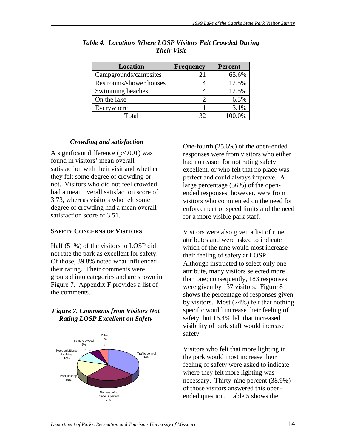| <b>Location</b>         | <b>Frequency</b> | <b>Percent</b> |
|-------------------------|------------------|----------------|
| Campgrounds/campsites   | 21               | 65.6%          |
| Restrooms/shower houses |                  | 12.5%          |
| Swimming beaches        |                  | 12.5%          |
| On the lake             |                  | 6.3%           |
| Everywhere              |                  | 3.1%           |
| Total                   | 32               | 100.0%         |

*Table 4. Locations Where LOSP Visitors Felt Crowded During Their Visit* 

# *Crowding and satisfaction*

A significant difference  $(p<.001)$  was found in visitors' mean overall satisfaction with their visit and whether they felt some degree of crowding or not. Visitors who did not feel crowded had a mean overall satisfaction score of 3.73, whereas visitors who felt some degree of crowding had a mean overall satisfaction score of 3.51.

## **SAFETY CONCERNS OF VISITORS**

Half (51%) of the visitors to LOSP did not rate the park as excellent for safety. Of those, 39.8% noted what influenced their rating. Their comments were grouped into categories and are shown in Figure 7. Appendix F provides a list of the comments.

# *Figure 7. Comments from Visitors Not Rating LOSP Excellent on Safety*



One-fourth (25.6%) of the open-ended responses were from visitors who either had no reason for not rating safety excellent, or who felt that no place was perfect and could always improve. A large percentage (36%) of the openended responses, however, were from visitors who commented on the need for enforcement of speed limits and the need for a more visible park staff.

Visitors were also given a list of nine attributes and were asked to indicate which of the nine would most increase their feeling of safety at LOSP. Although instructed to select only one attribute, many visitors selected more than one; consequently, 183 responses were given by 137 visitors. Figure 8 shows the percentage of responses given by visitors. Most (24%) felt that nothing specific would increase their feeling of safety, but 16.4% felt that increased visibility of park staff would increase safety.

Visitors who felt that more lighting in the park would most increase their feeling of safety were asked to indicate where they felt more lighting was necessary. Thirty-nine percent (38.9%) of those visitors answered this openended question. Table 5 shows the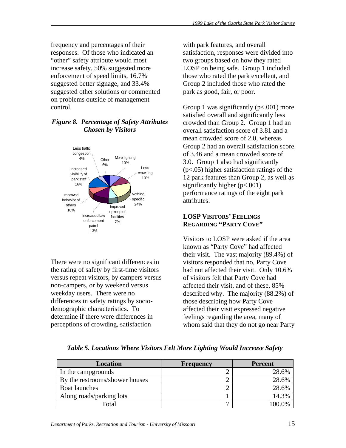frequency and percentages of their responses. Of those who indicated an "other" safety attribute would most increase safety, 50% suggested more enforcement of speed limits, 16.7% suggested better signage, and 33.4% suggested other solutions or commented on problems outside of management control.

# *Figure 8. Percentage of Safety Attributes Chosen by Visitors*



There were no significant differences in the rating of safety by first-time visitors versus repeat visitors, by campers versus non-campers, or by weekend versus weekday users. There were no differences in safety ratings by sociodemographic characteristics. To determine if there were differences in perceptions of crowding, satisfaction

with park features, and overall satisfaction, responses were divided into two groups based on how they rated LOSP on being safe. Group 1 included those who rated the park excellent, and Group 2 included those who rated the park as good, fair, or poor.

Group 1 was significantly  $(p<.001)$  more satisfied overall and significantly less crowded than Group 2. Group 1 had an overall satisfaction score of 3.81 and a mean crowded score of 2.0, whereas Group 2 had an overall satisfaction score of 3.46 and a mean crowded score of 3.0. Group 1 also had significantly (p<.05) higher satisfaction ratings of the 12 park features than Group 2, as well as significantly higher (p<.001) performance ratings of the eight park attributes.

# **LOSP VISITORS' FEELINGS REGARDING "PARTY COVE"**

Visitors to LOSP were asked if the area known as "Party Cove" had affected their visit. The vast majority (89.4%) of visitors responded that no, Party Cove had not affected their visit. Only 10.6% of visitors felt that Party Cove had affected their visit, and of these, 85% described why. The majority (88.2%) of those describing how Party Cove affected their visit expressed negative feelings regarding the area, many of whom said that they do not go near Party

| <b>Location</b>                | <b>Frequency</b> | <b>Percent</b> |
|--------------------------------|------------------|----------------|
| In the campgrounds             |                  | 28.6%          |
| By the restrooms/shower houses |                  | 28.6%          |
| <b>Boat launches</b>           |                  | 28.6%          |
| Along roads/parking lots       |                  |                |
| Total                          |                  |                |

*Table 5. Locations Where Visitors Felt More Lighting Would Increase Safety*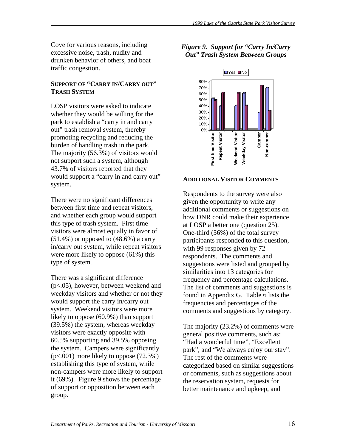Cove for various reasons, including excessive noise, trash, nudity and drunken behavior of others, and boat traffic congestion.

### **SUPPORT OF "CARRY IN/CARRY OUT" TRASH SYSTEM**

LOSP visitors were asked to indicate whether they would be willing for the park to establish a "carry in and carry out" trash removal system, thereby promoting recycling and reducing the burden of handling trash in the park. The majority (56.3%) of visitors would not support such a system, although 43.7% of visitors reported that they would support a "carry in and carry out" system.

There were no significant differences between first time and repeat visitors, and whether each group would support this type of trash system. First time visitors were almost equally in favor of  $(51.4\%)$  or opposed to  $(48.6\%)$  a carry in/carry out system, while repeat visitors were more likely to oppose (61%) this type of system.

There was a significant difference (p<.05), however, between weekend and weekday visitors and whether or not they would support the carry in/carry out system. Weekend visitors were more likely to oppose (60.9%) than support (39.5%) the system, whereas weekday visitors were exactly opposite with 60.5% supporting and 39.5% opposing the system. Campers were significantly (p<.001) more likely to oppose (72.3%) establishing this type of system, while non-campers were more likely to support it (69%). Figure 9 shows the percentage of support or opposition between each group.

# *Figure 9. Support for "Carry In/Carry Out" Trash System Between Groups*



## **ADDITIONAL VISITOR COMMENTS**

Respondents to the survey were also given the opportunity to write any additional comments or suggestions on how DNR could make their experience at LOSP a better one (question 25). One-third (36%) of the total survey participants responded to this question, with 99 responses given by 72 respondents. The comments and suggestions were listed and grouped by similarities into 13 categories for frequency and percentage calculations. The list of comments and suggestions is found in Appendix G. Table 6 lists the frequencies and percentages of the comments and suggestions by category.

The majority (23.2%) of comments were general positive comments, such as: "Had a wonderful time", "Excellent park", and "We always enjoy our stay". The rest of the comments were categorized based on similar suggestions or comments, such as suggestions about the reservation system, requests for better maintenance and upkeep, and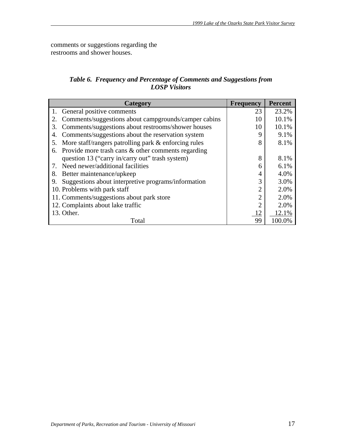comments or suggestions regarding the restrooms and shower houses.

# *Table 6. Frequency and Percentage of Comments and Suggestions from LOSP Visitors*

| Category                                                   | <b>Frequency</b> | <b>Percent</b> |
|------------------------------------------------------------|------------------|----------------|
| General positive comments                                  | 23               | 23.2%          |
| Comments/suggestions about campgrounds/camper cabins<br>2. | 10               | 10.1%          |
| Comments/suggestions about restrooms/shower houses<br>3.   | 10               | 10.1%          |
| Comments/suggestions about the reservation system<br>4.    | 9                | 9.1%           |
| More staff/rangers patrolling park & enforcing rules<br>5. | 8                | 8.1%           |
| Provide more trash cans & other comments regarding<br>6.   |                  |                |
| question 13 ("carry in/carry out" trash system)            | 8                | 8.1%           |
| Need newer/additional facilities                           | 6                | 6.1%           |
| Better maintenance/upkeep<br>8.                            | 4                | 4.0%           |
| Suggestions about interpretive programs/information<br>9.  | 3                | 3.0%           |
| 10. Problems with park staff                               | 2                | 2.0%           |
| 11. Comments/suggestions about park store                  | $\overline{2}$   | 2.0%           |
| 12. Complaints about lake traffic                          | $\overline{2}$   | 2.0%           |
| 13. Other.                                                 | 12               | 12.1%          |
| Total                                                      | 99               | 100.0%         |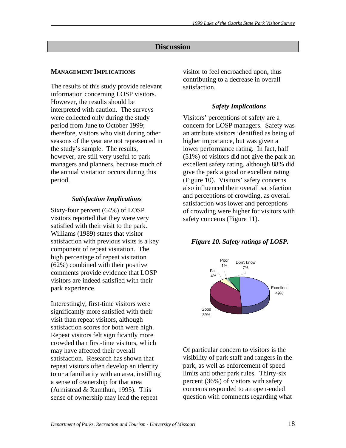# **Discussion**

### **MANAGEMENT IMPLICATIONS**

The results of this study provide relevant information concerning LOSP visitors. However, the results should be interpreted with caution. The surveys were collected only during the study period from June to October 1999; therefore, visitors who visit during other seasons of the year are not represented in the study's sample. The results, however, are still very useful to park managers and planners, because much of the annual visitation occurs during this period.

### *Satisfaction Implications*

Sixty-four percent (64%) of LOSP visitors reported that they were very satisfied with their visit to the park. Williams (1989) states that visitor satisfaction with previous visits is a key component of repeat visitation. The high percentage of repeat visitation (62%) combined with their positive comments provide evidence that LOSP visitors are indeed satisfied with their park experience.

Interestingly, first-time visitors were significantly more satisfied with their visit than repeat visitors, although satisfaction scores for both were high. Repeat visitors felt significantly more crowded than first-time visitors, which may have affected their overall satisfaction. Research has shown that repeat visitors often develop an identity to or a familiarity with an area, instilling a sense of ownership for that area (Armistead & Ramthun, 1995). This sense of ownership may lead the repeat

visitor to feel encroached upon, thus contributing to a decrease in overall satisfaction.

# *Safety Implications*

Visitors' perceptions of safety are a concern for LOSP managers. Safety was an attribute visitors identified as being of higher importance, but was given a lower performance rating. In fact, half (51%) of visitors did not give the park an excellent safety rating, although 88% did give the park a good or excellent rating (Figure 10). Visitors' safety concerns also influenced their overall satisfaction and perceptions of crowding, as overall satisfaction was lower and perceptions of crowding were higher for visitors with safety concerns (Figure 11).

## *Figure 10. Safety ratings of LOSP.*



Of particular concern to visitors is the visibility of park staff and rangers in the park, as well as enforcement of speed limits and other park rules. Thirty-six percent (36%) of visitors with safety concerns responded to an open-ended question with comments regarding what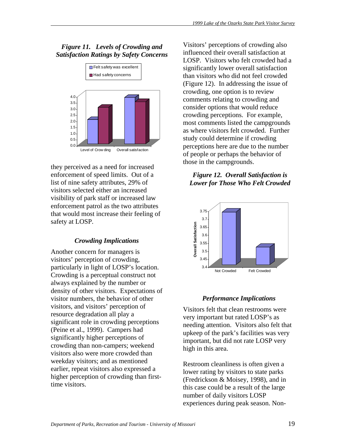# *Figure 11. Levels of Crowding and Satisfaction Ratings by Safety Concerns*



they perceived as a need for increased enforcement of speed limits. Out of a list of nine safety attributes, 29% of visitors selected either an increased visibility of park staff or increased law enforcement patrol as the two attributes that would most increase their feeling of safety at LOSP.

# *Crowding Implications*

Another concern for managers is visitors' perception of crowding, particularly in light of LOSP's location. Crowding is a perceptual construct not always explained by the number or density of other visitors. Expectations of visitor numbers, the behavior of other visitors, and visitors' perception of resource degradation all play a significant role in crowding perceptions (Peine et al., 1999). Campers had significantly higher perceptions of crowding than non-campers; weekend visitors also were more crowded than weekday visitors; and as mentioned earlier, repeat visitors also expressed a higher perception of crowding than firsttime visitors.

Visitors' perceptions of crowding also influenced their overall satisfaction at LOSP. Visitors who felt crowded had a significantly lower overall satisfaction than visitors who did not feel crowded (Figure 12). In addressing the issue of crowding, one option is to review comments relating to crowding and consider options that would reduce crowding perceptions. For example, most comments listed the campgrounds as where visitors felt crowded. Further study could determine if crowding perceptions here are due to the number of people or perhaps the behavior of those in the campgrounds.

# *Figure 12. Overall Satisfaction is Lower for Those Who Felt Crowded*



# *Performance Implications*

Visitors felt that clean restrooms were very important but rated LOSP's as needing attention. Visitors also felt that upkeep of the park's facilities was very important, but did not rate LOSP very high in this area.

Restroom cleanliness is often given a lower rating by visitors to state parks (Fredrickson & Moisey, 1998), and in this case could be a result of the large number of daily visitors LOSP experiences during peak season. Non-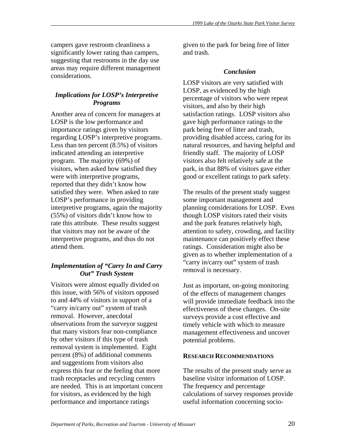campers gave restroom cleanliness a significantly lower rating than campers, suggesting that restrooms in the day use areas may require different management considerations.

# *Implications for LOSP's Interpretive Programs*

Another area of concern for managers at LOSP is the low performance and importance ratings given by visitors regarding LOSP's interpretive programs. Less than ten percent (8.5%) of visitors indicated attending an interpretive program. The majority (69%) of visitors, when asked how satisfied they were with interpretive programs, reported that they didn't know how satisfied they were. When asked to rate LOSP's performance in providing interpretive programs, again the majority (55%) of visitors didn't know how to rate this attribute. These results suggest that visitors may not be aware of the interpretive programs, and thus do not attend them.

# *Implementation of "Carry In and Carry Out" Trash System*

Visitors were almost equally divided on this issue, with 56% of visitors opposed to and 44% of visitors in support of a "carry in/carry out" system of trash removal. However, anecdotal observations from the surveyor suggest that many visitors fear non-compliance by other visitors if this type of trash removal system is implemented. Eight percent (8%) of additional comments and suggestions from visitors also express this fear or the feeling that more trash receptacles and recycling centers are needed. This is an important concern for visitors, as evidenced by the high performance and importance ratings

given to the park for being free of litter and trash.

# *Conclusion*

LOSP visitors are very satisfied with LOSP, as evidenced by the high percentage of visitors who were repeat visitors, and also by their high satisfaction ratings. LOSP visitors also gave high performance ratings to the park being free of litter and trash, providing disabled access, caring for its natural resources, and having helpful and friendly staff. The majority of LOSP visitors also felt relatively safe at the park, in that 88% of visitors gave either good or excellent ratings to park safety.

The results of the present study suggest some important management and planning considerations for LOSP. Even though LOSP visitors rated their visits and the park features relatively high, attention to safety, crowding, and facility maintenance can positively effect these ratings. Consideration might also be given as to whether implementation of a "carry in/carry out" system of trash removal is necessary.

Just as important, on-going monitoring of the effects of management changes will provide immediate feedback into the effectiveness of these changes. On-site surveys provide a cost effective and timely vehicle with which to measure management effectiveness and uncover potential problems.

## **RESEARCH RECOMMENDATIONS**

The results of the present study serve as baseline visitor information of LOSP. The frequency and percentage calculations of survey responses provide useful information concerning socio-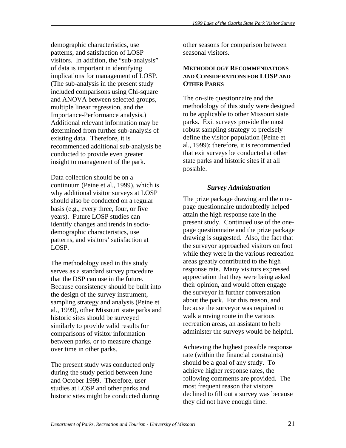demographic characteristics, use patterns, and satisfaction of LOSP visitors. In addition, the "sub-analysis" of data is important in identifying implications for management of LOSP. (The sub-analysis in the present study included comparisons using Chi-square and ANOVA between selected groups, multiple linear regression, and the Importance-Performance analysis.) Additional relevant information may be determined from further sub-analysis of existing data. Therefore, it is recommended additional sub-analysis be conducted to provide even greater insight to management of the park.

Data collection should be on a continuum (Peine et al., 1999), which is why additional visitor surveys at LOSP should also be conducted on a regular basis (e.g., every three, four, or five years). Future LOSP studies can identify changes and trends in sociodemographic characteristics, use patterns, and visitors' satisfaction at LOSP.

The methodology used in this study serves as a standard survey procedure that the DSP can use in the future. Because consistency should be built into the design of the survey instrument, sampling strategy and analysis (Peine et al., 1999), other Missouri state parks and historic sites should be surveyed similarly to provide valid results for comparisons of visitor information between parks, or to measure change over time in other parks.

The present study was conducted only during the study period between June and October 1999. Therefore, user studies at LOSP and other parks and historic sites might be conducted during other seasons for comparison between seasonal visitors.

### **METHODOLOGY RECOMMENDATIONS AND CONSIDERATIONS FOR LOSP AND OTHER PARKS**

The on-site questionnaire and the methodology of this study were designed to be applicable to other Missouri state parks. Exit surveys provide the most robust sampling strategy to precisely define the visitor population (Peine et al., 1999); therefore, it is recommended that exit surveys be conducted at other state parks and historic sites if at all possible.

# *Survey Administration*

The prize package drawing and the onepage questionnaire undoubtedly helped attain the high response rate in the present study. Continued use of the onepage questionnaire and the prize package drawing is suggested. Also, the fact that the surveyor approached visitors on foot while they were in the various recreation areas greatly contributed to the high response rate. Many visitors expressed appreciation that they were being asked their opinion, and would often engage the surveyor in further conversation about the park. For this reason, and because the surveyor was required to walk a roving route in the various recreation areas, an assistant to help administer the surveys would be helpful.

Achieving the highest possible response rate (within the financial constraints) should be a goal of any study. To achieve higher response rates, the following comments are provided. The most frequent reason that visitors declined to fill out a survey was because they did not have enough time.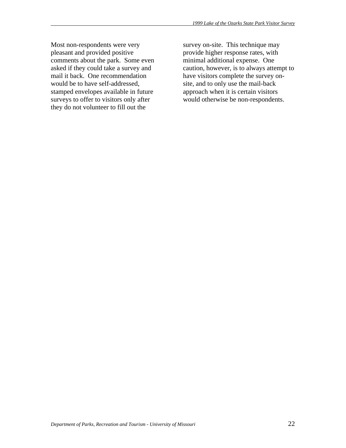Most non-respondents were very pleasant and provided positive comments about the park. Some even asked if they could take a survey and mail it back. One recommendation would be to have self-addressed, stamped envelopes available in future surveys to offer to visitors only after they do not volunteer to fill out the

survey on-site. This technique may provide higher response rates, with minimal additional expense. One caution, however, is to always attempt to have visitors complete the survey onsite, and to only use the mail-back approach when it is certain visitors would otherwise be non-respondents.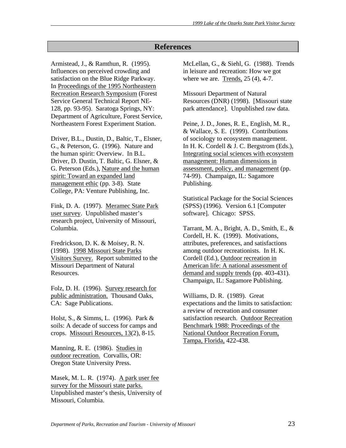# **References**

Armistead, J., & Ramthun, R. (1995). Influences on perceived crowding and satisfaction on the Blue Ridge Parkway. In Proceedings of the 1995 Northeastern Recreation Research Symposium (Forest Service General Technical Report NE-128, pp. 93-95). Saratoga Springs, NY: Department of Agriculture, Forest Service, Northeastern Forest Experiment Station.

Driver, B.L., Dustin, D., Baltic, T., Elsner, G., & Peterson, G. (1996). Nature and the human spirit: Overview. In B.L. Driver, D. Dustin, T. Baltic, G. Elsner, & G. Peterson (Eds.), Nature and the human spirit: Toward an expanded land management ethic (pp. 3-8). State College, PA: Venture Publishing, Inc.

Fink, D. A. (1997). Meramec State Park user survey. Unpublished master's research project, University of Missouri, Columbia.

Fredrickson, D. K. & Moisey, R. N. (1998). 1998 Missouri State Parks Visitors Survey. Report submitted to the Missouri Department of Natural Resources.

Folz, D. H. (1996). Survey research for public administration. Thousand Oaks, CA: Sage Publications.

Holst, S., & Simms, L. (1996). Park & soils: A decade of success for camps and crops. Missouri Resources, 13(2), 8-15.

Manning, R. E. (1986). Studies in outdoor recreation. Corvallis, OR: Oregon State University Press.

Masek, M. L. R. (1974). A park user fee survey for the Missouri state parks. Unpublished master's thesis, University of Missouri, Columbia.

McLellan, G., & Siehl, G. (1988). Trends in leisure and recreation: How we got where we are. Trends, 25 (4), 4-7.

Missouri Department of Natural Resources (DNR) (1998). [Missouri state park attendance]. Unpublished raw data.

Peine, J. D., Jones, R. E., English, M. R., & Wallace, S. E. (1999). Contributions of sociology to ecosystem management. In H. K. Cordell & J. C. Bergstrom (Eds.), Integrating social sciences with ecosystem management: Human dimensions in assessment, policy, and management (pp. 74-99). Champaign, IL: Sagamore Publishing.

Statistical Package for the Social Sciences (SPSS) (1996). Version 6.1 [Computer software]. Chicago: SPSS.

Tarrant, M. A., Bright, A. D., Smith, E., & Cordell, H. K. (1999). Motivations, attributes, preferences, and satisfactions among outdoor recreationists. In H. K. Cordell (Ed.), Outdoor recreation in American life: A national assessment of demand and supply trends (pp. 403-431). Champaign, IL: Sagamore Publishing.

Williams, D. R. (1989). Great expectations and the limits to satisfaction: a review of recreation and consumer satisfaction research. Outdoor Recreation Benchmark 1988: Proceedings of the National Outdoor Recreation Forum, Tampa, Florida, 422-438.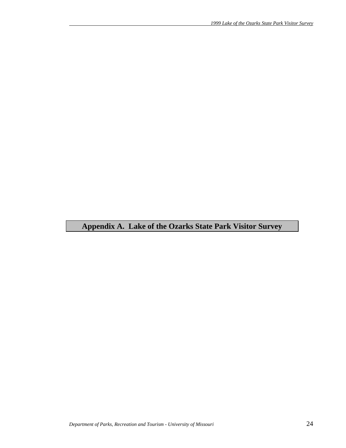# **Appendix A. Lake of the Ozarks State Park Visitor Survey**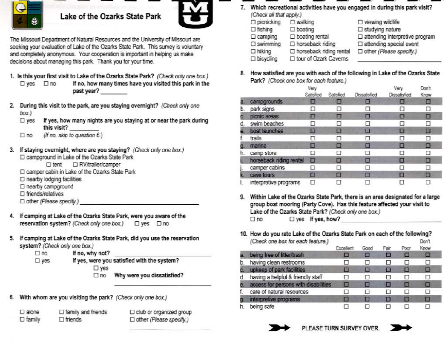

# Lake of the Ozarks State Park



The Missouri Department of Natural Resources and the University of Missouri are seeking your evaluation of Lake of the Ozarks State Park. This survey is voluntary and completely anonymous. Your cooperation is important in helping us make decisions about managing this park. Thank you for your time.

- 1. Is this your first visit to Lake of the Ozarks State Park? (Check only one box.) If no, how many times have you visited this park in the  $\square$  yes  $\square$  no past year?
- 2. During this visit to the park, are you staying overnight? (Check only one  $box)$ 
	- If yes, how many nights are you staying at or near the park during  $\square$  yes this visit?
	- (If no, skip to question 6.)  $\square$  no
- 3. If staying overnight, where are you staying? (Check only one box.) □ campground in Lake of the Ozarks State Park
	- □ RV/trailer/camper  $\Box$  tent
	- C camper cabin in Lake of the Ozarks State Park
	- □ nearby lodging facilities
	- □ nearby campground
	- □ friends/relatives
	- $\Box$  other (Please specify.)
- If camping at Lake of the Ozarks State Park, were you aware of the 4. reservation system? (Check only one box.) □ yes □ no
- If camping at Lake of the Ozarks State Park, did you use the reservation system? (Check only one box.)
	- $\square$  no If no, why not?
	- If yes, were you satisfied with the system?  $\square$  yes  $\square$  yes
		- Why were you dissatisfied?  $\Box$ no
- 6. With whom are you visiting the park? (Check only one box.)
	- $\square$  alone  $\square$  family and friends  $\square$  family  $\Box$  friends
- $\Box$  club or organized group □ other (Please specify.)
- 7. Which recreational activities have you engaged in during this park visit? (Check all that apply.)
	- $\square$  picnicking  $\square$  walking  $\square$  viewing wildlife  $\Box$  fishing  $\Box$  boating  $\square$  studying nature  $\square$  attending interpretive program  $\square$  boating rental  $\Box$  camping □ horseback riding  $\square$  attending special event  $\square$  swimming □ other (Please specify.) □ horseback riding rental  $\Box$  hiking □ tour of Ozark Caverns  $\square$  bicycling
- 8. How satisfied are you with each of the following in Lake of the Ozarks State Park? (Check one box for each feature.)

|    |                         | Very<br>Satisfied | Satisfied | Dissatisfied | Very<br>Dissatisfied | Don't<br>Know |
|----|-------------------------|-------------------|-----------|--------------|----------------------|---------------|
|    | campgrounds             |                   | ш         | ▣            | ш                    | Ξ             |
| D. | park signs              |                   |           |              |                      | □             |
|    | picnic areas            | ш                 | в         | α            | □                    | ◻             |
|    | swim beaches            |                   |           | ◻            |                      | □             |
|    | boat launches           | ы                 | ш         | o            | Ð                    | ▣             |
|    | trails                  | п                 | п         | □            | □                    | □             |
|    | marina                  | n                 | ■         | о            | □                    | □             |
| n. | camp store              | u                 |           |              |                      | □             |
|    | horseback riding rental | o                 | п         | п            | ▣                    | О             |
|    | camper cabins           | ⊔                 |           | ப            | ப                    | □             |
|    | cave tours              | G                 | ▣         | Е            | О                    | ο             |
|    | interpretive programs   | o                 |           |              |                      | □             |

- 9. Within Lake of the Ozarks State Park, there is an area designated for a large group boat mooring (Party Cove). Has this feature affected your visit to Lake of the Ozarks State Park? (Check only one box.)  $\Box$  yes If yes, how?  $\square$  no
- 10. How do you rate Lake of the Ozarks State Park on each of the following? (Check one box for each feature.) Don't

|    |                                      | Excellent | Good | Fair | Poor | Know |  |
|----|--------------------------------------|-----------|------|------|------|------|--|
|    | being free of litter/trash           | ■         |      |      | ■    | ▣    |  |
| b. | having clean restrooms               | □         |      | □    | □    | □    |  |
|    | upkeep of park facilities            | п         |      |      | □    | ఆ    |  |
| đ. | having a helpful & friendly staff    | П         |      |      | □    | □    |  |
|    | access for persons with disabilities | п         |      | в    | в    | o    |  |
|    | care of natural resources            | U         |      |      | п    | □    |  |
|    | interpretive programs                | п         |      |      | п    | ▣    |  |
|    | being safe                           |           |      |      |      | п    |  |



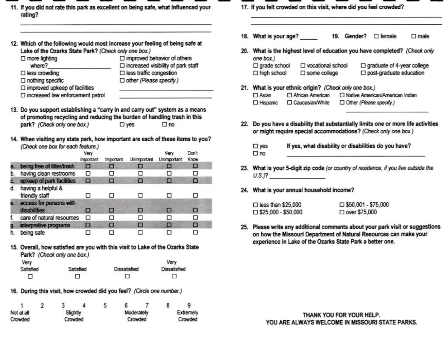11. If you did not rate this park as excellent on being safe, what influenced your rating?

| $\square$ more lighting                 | $\square$ improved behavior of others        |
|-----------------------------------------|----------------------------------------------|
| where?                                  | $\square$ increased visibility of park staff |
| $\square$ less crowding                 | $\square$ less traffic congestion            |
| $\square$ nothing specific              | □ other (Please specify.)                    |
| $\square$ improved upkeep of facilities |                                              |
| □ increased law enforcement patrol      |                                              |

- park? (Check only one box.)  $\square$  yes  $\square$  no
- 14. When visiting any state park, how important are each of these items to you? (Check one box for each feature.)

|    |                                         | Very<br><b>Important</b> | Important       | Unimportant | Verv<br><b>Unimportant</b> | Don't<br>Know |
|----|-----------------------------------------|--------------------------|-----------------|-------------|----------------------------|---------------|
|    | being free of litter/trash              | 国                        | <b>CONTRACT</b> |             |                            |               |
| b. | having clean restrooms                  | п                        | ш               |             |                            | О             |
|    | upkeep of park facilities               | п                        | п               | о           |                            | ▣             |
| đ. | having a helpful &<br>friendly staff    |                          |                 |             |                            |               |
|    | access for persons with<br>disabilities | в                        | п               | ш           | ш                          |               |
|    | care of natural resources               | □                        | ◻               |             |                            | □             |
| Œ  | interpretive programs                   | п                        | Ω               | п           | п                          | о             |
|    | being safe                              |                          | п               |             |                            |               |

15. Overall, how satisfied are you with this visit to Lake of the Ozarks State Park? (Check only one box.)

| Very      |           |              | Very         |
|-----------|-----------|--------------|--------------|
| Satisfied | Satisfied | Dissatisfied | Dissatisfied |
| □         | □         |              |              |

16. During this visit, how crowded did you feel? (Circle one number.)

|                        |  |  |            | э       |           |         | 8 |  |
|------------------------|--|--|------------|---------|-----------|---------|---|--|
| Not at all<br>Slightly |  |  | Moderately |         | Extremely |         |   |  |
| Crowded<br>Crowded     |  |  |            | Crowded |           | Crowded |   |  |

- 17. If you felt crowded on this visit, where did you feel crowded?
- 18. What is your age? 19. Gender? □ female  $\Box$  male
- 20. What is the highest level of education you have completed? (Check only one box.)  $\square$  grade school □ vocational school  $\Box$  graduate of 4-year college  $\Box$  high school □ post-graduate education  $\square$  some college
- 21. What is your ethnic origin? (Check only one box.) □ African American □ Native American/American Indian  $\Box$  Asian □ Caucasian/White Other (Please specify.) □ Hispanic
- 22. Do you have a disability that substantially limits one or more life activities or might require special accommodations? (Check only one box.)
	- $\square$  yes If yes, what disability or disabilities do you have?  $\square$  no
- 23. What is your 5-digit zip code (or country of residence, if you live outside the  $U.S.J?$
- 24. What is your annual household income?

| $\Box$ less than \$25,000     | $\Box$ \$50,001 - \$75,000 |
|-------------------------------|----------------------------|
| $\square$ \$25,000 - \$50,000 | □ over \$75,000            |

25. Please write any additional comments about your park visit or suggestions on how the Missouri Department of Natural Resources can make your experience in Lake of the Ozarks State Park a better one.

> THANK YOU FOR YOUR HELP. YOU ARE ALWAYS WELCOME IN MISSOURI STATE PARKS.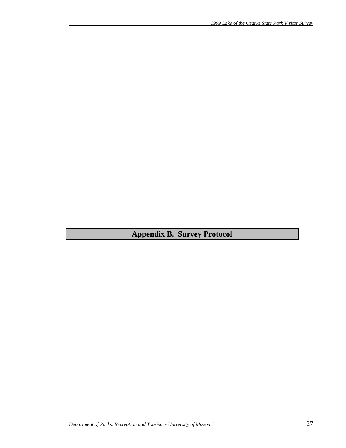**Appendix B. Survey Protocol**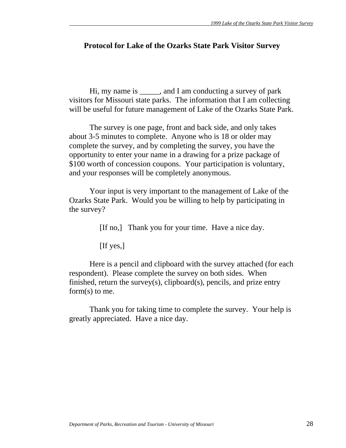# **Protocol for Lake of the Ozarks State Park Visitor Survey**

 Hi, my name is \_\_\_\_\_, and I am conducting a survey of park visitors for Missouri state parks. The information that I am collecting will be useful for future management of Lake of the Ozarks State Park.

 The survey is one page, front and back side, and only takes about 3-5 minutes to complete. Anyone who is 18 or older may complete the survey, and by completing the survey, you have the opportunity to enter your name in a drawing for a prize package of \$100 worth of concession coupons. Your participation is voluntary, and your responses will be completely anonymous.

 Your input is very important to the management of Lake of the Ozarks State Park. Would you be willing to help by participating in the survey?

[If no,] Thank you for your time. Have a nice day.

[If yes,]

 Here is a pencil and clipboard with the survey attached (for each respondent). Please complete the survey on both sides. When finished, return the survey(s), clipboard(s), pencils, and prize entry form(s) to me.

 Thank you for taking time to complete the survey. Your help is greatly appreciated. Have a nice day.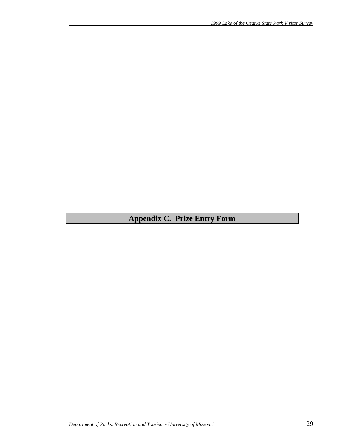# **Appendix C. Prize Entry Form**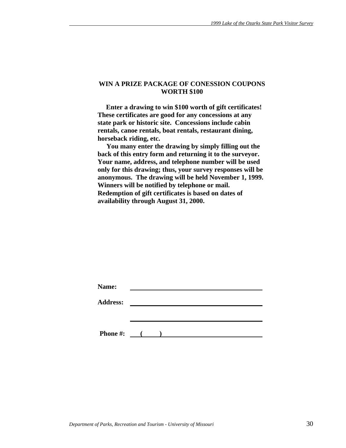### **WIN A PRIZE PACKAGE OF CONESSION COUPONS WORTH \$100**

 **Enter a drawing to win \$100 worth of gift certificates! These certificates are good for any concessions at any state park or historic site. Concessions include cabin rentals, canoe rentals, boat rentals, restaurant dining, horseback riding, etc.** 

 **You many enter the drawing by simply filling out the back of this entry form and returning it to the surveyor. Your name, address, and telephone number will be used only for this drawing; thus, your survey responses will be anonymous. The drawing will be held November 1, 1999. Winners will be notified by telephone or mail. Redemption of gift certificates is based on dates of availability through August 31, 2000.** 

|  | $\sim$ 0.000 $\sim$ |  |  |
|--|---------------------|--|--|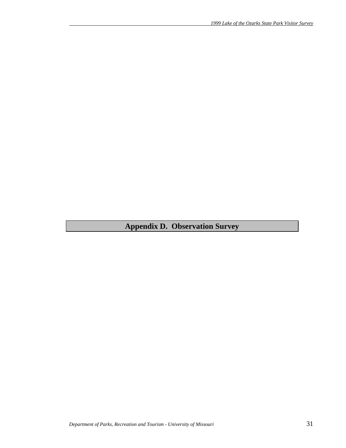# **Appendix D. Observation Survey**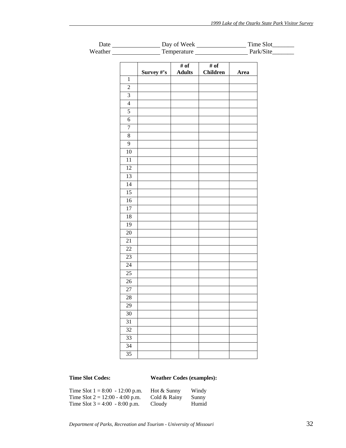| <b>Date</b> | Day of Week | Time Slot |
|-------------|-------------|-----------|
| Weather     | Temperature | Park/Site |

|                         | Survey #'s | # of<br><b>Adults</b> | # of<br><b>Children</b> | Area |
|-------------------------|------------|-----------------------|-------------------------|------|
| $\,1$                   |            |                       |                         |      |
| $\sqrt{2}$              |            |                       |                         |      |
| $\overline{\mathbf{3}}$ |            |                       |                         |      |
| $\overline{4}$          |            |                       |                         |      |
| $\overline{5}$          |            |                       |                         |      |
| $\overline{6}$          |            |                       |                         |      |
| $\overline{7}$          |            |                       |                         |      |
| $\overline{8}$          |            |                       |                         |      |
| $\mathbf{9}$            |            |                       |                         |      |
| $\overline{10}$         |            |                       |                         |      |
| 11                      |            |                       |                         |      |
| $\overline{12}$         |            |                       |                         |      |
| $\overline{13}$         |            |                       |                         |      |
| $\overline{14}$         |            |                       |                         |      |
| $\overline{15}$         |            |                       |                         |      |
| 16                      |            |                       |                         |      |
| $\overline{17}$         |            |                       |                         |      |
| 18                      |            |                       |                         |      |
| $\overline{19}$         |            |                       |                         |      |
| $\overline{20}$         |            |                       |                         |      |
| 21                      |            |                       |                         |      |
| $\overline{22}$         |            |                       |                         |      |
| $\overline{23}$         |            |                       |                         |      |
| 24                      |            |                       |                         |      |
| $\overline{25}$         |            |                       |                         |      |
| $26\,$                  |            |                       |                         |      |
| 27                      |            |                       |                         |      |
| 28                      |            |                       |                         |      |
| 29                      |            |                       |                         |      |
| $30\,$                  |            |                       |                         |      |
| 31                      |            |                       |                         |      |
| $\overline{32}$         |            |                       |                         |      |
| 33                      |            |                       |                         |      |
| 34                      |            |                       |                         |      |
| $\overline{35}$         |            |                       |                         |      |

# **Time Slot Codes: Weather Codes (examples):**

| Time Slot $1 = 8:00 - 12:00$ p.m. | Hot & Sunny  | Windy |
|-----------------------------------|--------------|-------|
| Time Slot $2 = 12:00 - 4:00$ p.m. | Cold & Rainy | Sunny |
| Time Slot $3 = 4:00 - 8:00$ p.m.  | Cloudy       | Humid |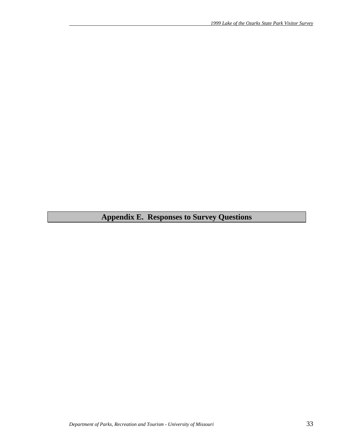# **Appendix E. Responses to Survey Questions**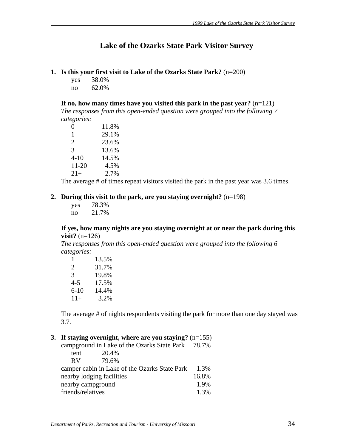# **Lake of the Ozarks State Park Visitor Survey**

- **1. Is this your first visit to Lake of the Ozarks State Park?** (n=200)
	- yes 38.0% no 62.0%

**If no, how many times have you visited this park in the past year?** (n=121)

*The responses from this open-ended question were grouped into the following 7 categories:*

| $\mathbf{0}$ | 11.8% |
|--------------|-------|
| 1            | 29.1% |
| 2            | 23.6% |
| 3            | 13.6% |
| $4 - 10$     | 14.5% |
| 11-20        | 4.5%  |
| $21+$        | 2.7%  |

The average # of times repeat visitors visited the park in the past year was 3.6 times.

### **2. During this visit to the park, are you staying overnight?** (n=198)

| yes | 78.3% |
|-----|-------|
| no  | 21.7% |

### **If yes, how many nights are you staying overnight at or near the park during this visit?** (n=126)

*The responses from this open-ended question were grouped into the following 6 categories:*

| 1        | 13.5% |
|----------|-------|
| 2        | 31.7% |
| 3        | 19.8% |
| $4 - 5$  | 17.5% |
| $6 - 10$ | 14.4% |
| $11+$    | 3.2%  |

The average # of nights respondents visiting the park for more than one day stayed was 3.7.

### **3. If staying overnight, where are you staying?** (n=155)

|                                               |                   | campground in Lake of the Ozarks State Park 78.7% |      |  |
|-----------------------------------------------|-------------------|---------------------------------------------------|------|--|
|                                               | tent              | 20.4%                                             |      |  |
|                                               | <b>RV</b>         | 79.6%                                             |      |  |
| camper cabin in Lake of the Ozarks State Park |                   |                                                   |      |  |
| nearby lodging facilities                     |                   |                                                   |      |  |
|                                               |                   | nearby campground                                 | 1.9% |  |
|                                               | friends/relatives |                                                   | 1.3% |  |
|                                               |                   |                                                   |      |  |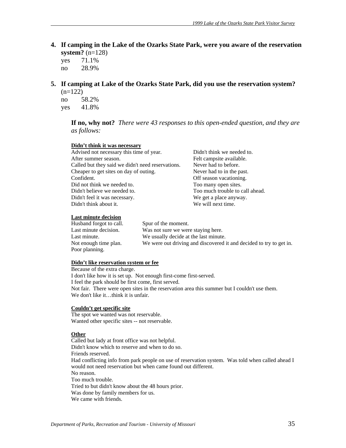**4. If camping in the Lake of the Ozarks State Park, were you aware of the reservation system?** (n=128)

 yes 71.1% no 28.9%

**5. If camping at Lake of the Ozarks State Park, did you use the reservation system?**  $(n=122)$ 

 no 58.2% yes 41.8%

> **If no, why not?** *There were 43 responses to this open-ended question, and they are as follows:*

### **Didn't think it was necessary**

| Advised not necessary this time of year.          | Didn't think we needed to.      |
|---------------------------------------------------|---------------------------------|
| After summer season.                              | Felt campsite available.        |
| Called but they said we didn't need reservations. | Never had to before.            |
| Cheaper to get sites on day of outing.            | Never had to in the past.       |
| Confident.                                        | Off season vacationing.         |
| Did not think we needed to.                       | Too many open sites.            |
| Didn't believe we needed to.                      | Too much trouble to call ahead. |
| Didn't feel it was necessary.                     | We get a place anyway.          |
| Didn't think about it.                            | We will next time.              |
|                                                   |                                 |

### **Last minute decision**

| Husband forgot to call. | Spur of the moment.                                                 |
|-------------------------|---------------------------------------------------------------------|
| Last minute decision.   | Was not sure we were staying here.                                  |
| Last minute.            | We usually decide at the last minute.                               |
| Not enough time plan.   | We were out driving and discovered it and decided to try to get in. |
| Poor planning.          |                                                                     |

### **Didn't like reservation system or fee**

Because of the extra charge. I don't like how it is set up. Not enough first-come first-served. I feel the park should be first come, first served. Not fair. There were open sites in the reservation area this summer but I couldn't use them. We don't like it...think it is unfair.

### **Couldn't get specific site**

The spot we wanted was not reservable. Wanted other specific sites -- not reservable.

### **Other**

Called but lady at front office was not helpful. Didn't know which to reserve and when to do so. Friends reserved. Had conflicting info from park people on use of reservation system. Was told when called ahead I would not need reservation but when came found out different. No reason. Too much trouble. Tried to but didn't know about the 48 hours prior. Was done by family members for us. We came with friends.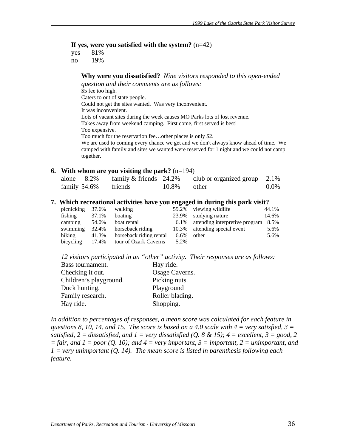### **If yes, were you satisfied with the system?** (n=42)

 yes 81% no 19%

## **Why were you dissatisfied?** *Nine visitors responded to this open-ended*

*question and their comments are as follows:*

\$5 fee too high. Caters to out of state people. Could not get the sites wanted. Was very inconvenient. It was inconvenient. Lots of vacant sites during the week causes MO Parks lots of lost revenue. Takes away from weekend camping. First come, first served is best! Too expensive. Too much for the reservation fee…other places is only \$2. We are used to coming every chance we get and we don't always know ahead of time. We camped with family and sites we wanted were reserved for 1 night and we could not camp together.

### **6. With whom are you visiting the park?** (n=194)

| alone $8.2\%$ | family $&$ friends 24.2% |                | club or organized group $2.1\%$ |         |
|---------------|--------------------------|----------------|---------------------------------|---------|
| family 54.6%  | friends                  | $10.8\%$ other |                                 | $0.0\%$ |

### **7. Which recreational activities have you engaged in during this park visit?**

| picnicking | 37.6% | walking                 | 59.2% | viewing wildlife                    | 44.1% |
|------------|-------|-------------------------|-------|-------------------------------------|-------|
| fishing    | 37.1% | boating                 | 23.9% | studying nature                     | 14.6% |
| camping    | 54.0% | boat rental             |       | 6.1% attending interpretive program | 8.5%  |
| swimming   | 32.4% | horseback riding        | 10.3% | attending special event             | 5.6%  |
| hiking     | 41.3% | horseback riding rental | 6.6%  | other                               | 5.6%  |
| bicycling  | 17.4% | tour of Ozark Caverns   | 5.2%  |                                     |       |

*12 visitors participated in an "other" activity. Their responses are as follows:*

| Bass tournament.       | Hay ride.       |
|------------------------|-----------------|
| Checking it out.       | Osage Caverns.  |
| Children's playground. | Picking nuts.   |
| Duck hunting.          | Playground      |
| Family research.       | Roller blading. |
| Hay ride.              | Shopping.       |

In addition to percentages of responses, a mean score was calculated for each feature in *questions 8, 10, 14, and 15. The score is based on a 4.0 scale with 4 = very satisfied, 3 = satisfied,*  $2 =$  *dissatisfied, and*  $1 =$  *very dissatisfied (Q. 8 & 15);*  $4 =$  *excellent,*  $3 =$  *good,* 2  $=$  fair, and  $1 =$  poor (Q. 10); and  $4 =$  very important,  $3 =$  important,  $2 =$  unimportant, and *1 = very unimportant (Q. 14). The mean score is listed in parenthesis following each feature.*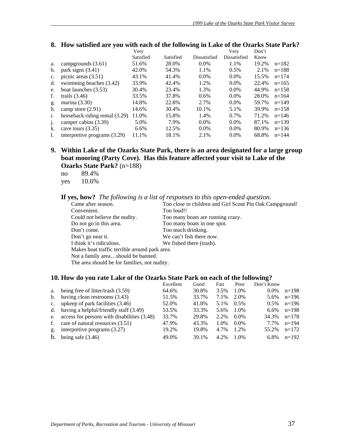|                |                                | Very      |           |              | Verv         | Don't |           |
|----------------|--------------------------------|-----------|-----------|--------------|--------------|-------|-----------|
|                |                                | Satisfied | Satisfied | Dissatisfied | Dissatisfied | Know  |           |
| a.             | campgrounds $(3.61)$           | 51.6%     | 28.0%     | $0.0\%$      | 1.1%         | 19.2% | $n=182$   |
| b.             | park signs $(3.41)$            | 42.0%     | 54.3%     | 1.1%         | 0.5%         | 2.1%  | $n=188$   |
| c.             | picnic areas $(3.51)$          | 43.1%     | 41.4%     | $0.0\%$      | $0.0\%$      | 15.5% | $n=174$   |
| d.             | swimming beaches (3.42)        | 33.9%     | 42.4%     | 1.2%         | $0.0\%$      | 22.4% | $n=165$   |
| e.             | boat launches (3.53)           | 30.4%     | 23.4%     | 1.3%         | $0.0\%$      | 44.9% | $n=158$   |
| f.             | trails $(3.46)$                | 33.5%     | 37.8%     | 0.6%         | $0.0\%$      | 28.0% | $n = 164$ |
| g.             | marina $(3.30)$                | 14.8%     | 22.8%     | 2.7%         | $0.0\%$      | 59.7% | $n=149$   |
| h.             | camp store $(2.91)$            | 14.6%     | 30.4%     | 10.1%        | 5.1%         | 39.9% | $n=158$   |
| $\mathbf{1}$ . | horseback riding rental (3.29) | 11.0%     | 15.8%     | 1.4%         | $0.7\%$      | 71.2% | $n = 146$ |
| $\mathbf{1}$   | camper cabins (3.39)           | 5.0%      | 7.9%      | $0.0\%$      | $0.0\%$      | 87.1% | $n=139$   |
| k.             | cave tours $(3.35)$            | 6.6%      | 12.5%     | $0.0\%$      | $0.0\%$      | 80.9% | $n=136$   |
| 1.             | interpretive programs (3.29)   | 11.1%     | 18.1%     | 2.1%         | $0.0\%$      | 68.8% | $n = 144$ |

# 8. How satisfied are you with each of the following in Lake of the Ozarks State Park?

**9. Within Lake of the Ozarks State Park, there is an area designated for a large group boat mooring (Party Cove). Has this feature affected your visit to Lake of the Ozarks State Park?** (n=188)

no 89.4% yes 10.6%

**If yes, how?** *The following is a list of responses to this open-ended question.*

| Came after season.                            | Too close to children and Girl Scout Pin Oak Campground! |
|-----------------------------------------------|----------------------------------------------------------|
| Convenient.                                   | Too loud!!                                               |
| Could not believe the nudity.                 | Too many boats are running crazy.                        |
| Do not go in this area.                       | Too many boats in one spot.                              |
| Don't come.                                   | Too much drinking.                                       |
| Don't go near it.                             | We can't fish there now.                                 |
| I think it's ridiculous.                      | We fished there (trash).                                 |
| Makes boat traffic terrible around park area. |                                                          |
| Not a family areashould be banned.            |                                                          |
| The area should be for families, not nudity.  |                                                          |

### **10. How do you rate Lake of the Ozarks State Park on each of the following?**

|                |                                                | Excellent | Good  | Fair | Poor    | Don't Know |         |
|----------------|------------------------------------------------|-----------|-------|------|---------|------------|---------|
| a.             | being free of litter/trash (3.59)              | 64.6%     | 30.8% | 3.5% | 1.0%    | $0.0\%$    | $n=198$ |
|                | b. having clean restrooms $(3.43)$             | 51.5%     | 33.7% | 7.1% | 2.0%    | 5.6%       | $n=196$ |
|                | c. upkeep of park facilities $(3.46)$          | 52.0%     | 41.8% | 5.1% | $0.5\%$ | $0.5\%$    | $n=196$ |
|                | d. having a helpful/friendly staff $(3.49)$    | 53.5%     | 33.3% | 5.6% | 1.0%    | $6.6\%$    | $n=198$ |
|                | e. access for persons with disabilities (3.48) | 33.7%     | 29.8% | 2.2% | $0.0\%$ | 34.3%      | $n=178$ |
| f.             | care of natural resources (3.51)               | 47.9%     | 43.3% | 1.0% | $0.0\%$ | 7.7%       | $n=194$ |
| $\mathbf{g}$ . | interpretive programs $(3.27)$                 | 19.2%     | 19.8% | 4.7% | 1.2%    | 55.2%      | $n=172$ |
| h.             | being safe $(3.46)$                            | 49.0%     | 39.1% | 4.2% | 1.0%    | 6.8%       | $n=192$ |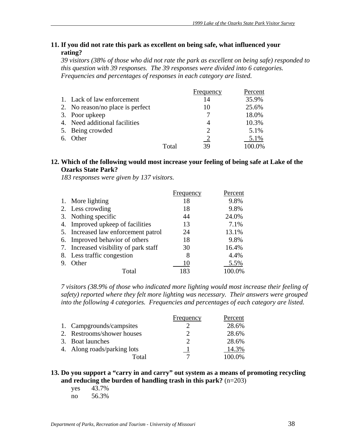### **11. If you did not rate this park as excellent on being safe, what influenced your rating?**

*39 visitors (38% of those who did not rate the park as excellent on being safe) responded to this question with 39 responses. The 39 responses were divided into 6 categories. Frequencies and percentages of responses in each category are listed.* 

|                                  |       | Frequency                   | Percent |
|----------------------------------|-------|-----------------------------|---------|
| 1. Lack of law enforcement       |       | 14                          | 35.9%   |
| 2. No reason/no place is perfect |       | 10                          | 25.6%   |
| 3. Poor upkeep                   |       |                             | 18.0%   |
| 4. Need additional facilities    |       |                             | 10.3%   |
| 5. Being crowded                 |       | $\mathcal{D}_{\mathcal{A}}$ | 5.1%    |
| 6. Other                         |       |                             | 5.1%    |
|                                  | Total | 39                          | 100.0%  |

### **12. Which of the following would most increase your feeling of being safe at Lake of the Ozarks State Park?**

*183 responses were given by 137 visitors.*

|                                       | Frequency | Percent |
|---------------------------------------|-----------|---------|
| 1. More lighting                      | 18        | 9.8%    |
| 2. Less crowding                      | 18        | 9.8%    |
| 3. Nothing specific                   | 44        | 24.0%   |
| 4. Improved upkeep of facilities      | 13        | 7.1%    |
| 5. Increased law enforcement patrol   | 24        | 13.1%   |
| 6. Improved behavior of others        | 18        | 9.8%    |
| 7. Increased visibility of park staff | 30        | 16.4%   |
| 8. Less traffic congestion            | 8         | 4.4%    |
| Other                                 | 10        | 5.5%    |
| Total                                 | 183       | 100.0%  |

*7 visitors (38.9% of those who indicated more lighting would most increase their feeling of safety) reported where they felt more lighting was necessary. Their answers were grouped into the following 4 categories. Frequencies and percentages of each category are listed.*

|                             | Frequency | Percent |
|-----------------------------|-----------|---------|
| 1. Campgrounds/campsites    |           | 28.6%   |
| 2. Restrooms/shower houses  |           | 28.6%   |
| 3. Boat launches            |           | 28.6%   |
| 4. Along roads/parking lots |           | 14.3%   |
| Total                       |           | 100.0%  |

### **13. Do you support a "carry in and carry" out system as a means of promoting recycling and reducing the burden of handling trash in this park?** (n=203)

yes 43.7%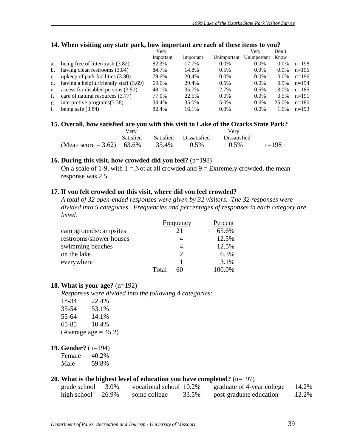|                | . .<br>$\overline{\phantom{a}}$        |           |           |             |             |         |         |
|----------------|----------------------------------------|-----------|-----------|-------------|-------------|---------|---------|
|                |                                        | Verv      |           |             | Verv        | Don't   |         |
|                |                                        | Important | Important | Unimportant | Unimportant | Know    |         |
| a.             | being free of litter/trash $(3.82)$    | 82.3%     | 17.7%     | $0.0\%$     | $0.0\%$     | $0.0\%$ | $n=198$ |
| b.             | having clean restrooms (3.84)          | 84.7%     | 14.8%     | 0.5%        | $0.0\%$     | $0.0\%$ | $n=196$ |
| $\mathbf{c}$ . | upkeep of park facilities (3.80)       | 79.6%     | 20.4%     | $0.0\%$     | $0.0\%$     | $0.0\%$ | $n=196$ |
| d.             | having a helpful/friendly staff (3.69) | 69.6%     | 29.4%     | 0.5%        | $0.0\%$     | $0.5\%$ | $n=194$ |
| e.             | access for disabled persons (3.51)     | 48.1%     | 35.7%     | 2.7%        | 0.5%        | 13.0%   | $n=185$ |
| f.             | care of natural resources (3.77)       | 77.0%     | 22.5%     | $0.0\%$     | $0.0\%$     | $0.5\%$ | $n=191$ |
| g.             | interpretive programs $(3.38)$         | 34.4%     | 35.0%     | 5.0%        | 0.6%        | 25.0%   | $n=180$ |
|                | being safe $(3.84)$                    | 82.4%     | 16.1%     | $0.0\%$     | $0.0\%$     | 1.6%    | $n=193$ |
|                |                                        |           |           |             |             |         |         |

### **14. When visiting any state park, how important are each of these items to you?**

### 15. Overall, how satisfied are you with this visit to Lake of the Ozarks State Park?

|                           | Verv             |       |                        |                     |         |
|---------------------------|------------------|-------|------------------------|---------------------|---------|
|                           | <b>Satisfied</b> |       | Satisfied Dissatisfied | <b>Dissatisfied</b> |         |
| (Mean score = 3.62) 63.6% |                  | 35.4% | $0.5\%$                | $0.5\%$             | $n=198$ |

### **16. During this visit, how crowded did you feel?** (n=198)

On a scale of 1-9, with  $1 = Not$  at all crowded and  $9 = Extremely$  crowded, the mean response was 2.5.

### **17. If you felt crowded on this visit, where did you feel crowded?**

*A total of 32 open-ended responses were given by 32 visitors. The 32 responses were divided into 5 categories. Frequencies and percentages of responses in each category are listed.* 

|                         | Frequency   | Percent |
|-------------------------|-------------|---------|
| campgrounds/campsites   | 21          | 65.6%   |
| restrooms/shower houses |             | 12.5%   |
| swimming beaches        |             | 12.5%   |
| on the lake             | ∍           | 6.3%    |
| everywhere              |             | 3.1%    |
|                         | Total<br>60 | 100.0%  |

### **18. What is your age?** (n=192)

*Responses were divided into the following 4 categories:*

| 18-34 | 22.4%                   |
|-------|-------------------------|
| 35-54 | 53.1%                   |
| 55-64 | 14.1%                   |
| 65-85 | 10.4%                   |
|       | (Average age $= 45.2$ ) |

### **19. Gender?** (n=194)

| Female | 40.2% |
|--------|-------|
| Male   | 59.8% |

# **20. What is the highest level of education you have completed?** (n=197)

| grade school | 3.0%  | vocational school 10.2% |       | graduate of 4-year college | 14.2% |
|--------------|-------|-------------------------|-------|----------------------------|-------|
| high school  | 26.9% | some college            | 33.5% | post-graduate education    | 12.2% |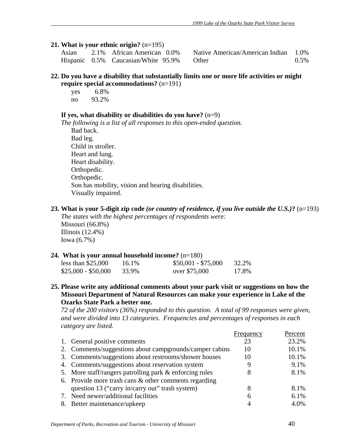### **21. What is your ethnic origin?** (n=195)

| Asian | 2.1% African American 0.0%          | Native American/American Indian 1.0% |         |
|-------|-------------------------------------|--------------------------------------|---------|
|       | Hispanic 0.5% Caucasian/White 95.9% | <b>Other</b>                         | $0.5\%$ |

### **22. Do you have a disability that substantially limits one or more life activities or might require special accommodations?** (n=191)

 yes 6.8% no 93.2%

### **If yes, what disability or disabilities do you have?** (n=9)

*The following is a list of all responses to this open-ended question.* 

 Bad back. Bad leg. Child in stroller. Heart and lung. Heart disability. Orthopedic. Orthopedic. Son has mobility, vision and hearing disabilities. Visually impaired.

### **23. What is your 5-digit zip code** *(or country of residence, if you live outside the U.S.)***?** (n=193)

*The states with the highest percentages of respondents were:*  Missouri (66.8%) Illinois (12.4%) Iowa (6.7%)

### **24. What is your annual household income?** (n=180)

| less than $$25,000$ | 16.1% | $$50,001 - $75,000$ | 32.2% |
|---------------------|-------|---------------------|-------|
| $$25,000 - $50,000$ | 33.9% | over \$75,000       | 17.8% |

**25. Please write any additional comments about your park visit or suggestions on how the Missouri Department of Natural Resources can make your experience in Lake of the Ozarks State Park a better one.** 

*72 of the 200 visitors (36%) responded to this question. A total of 99 responses were given, and were divided into 13 categories. Frequencies and percentages of responses in each category are listed.*

|                                                         | Frequency | Percent |
|---------------------------------------------------------|-----------|---------|
| 1. General positive comments                            | 23        | 23.2%   |
| 2. Comments/suggestions about campgrounds/camper cabins | 10        | 10.1%   |
| 3. Comments/suggestions about restrooms/shower houses   | 10        | 10.1%   |
| 4. Comments/suggestions about reservation system        |           | 9.1%    |
| 5. More staff/rangers patrolling park & enforcing rules | 8         | 8.1%    |
| 6. Provide more trash cans $&$ other comments regarding |           |         |
| question 13 ("carry in/carry out" trash system)         | 8         | 8.1%    |
| 7. Need newer/additional facilities                     | 6         | 6.1%    |
| 8. Better maintenance/upkeep                            |           | 4.0%    |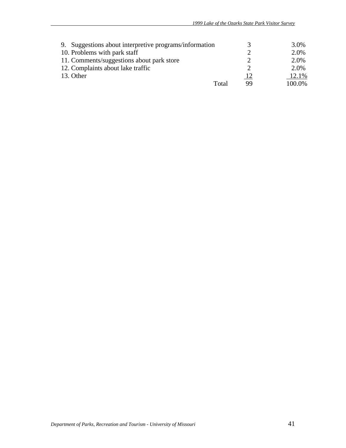| 9. Suggestions about interpretive programs/information |           | 3.0%   |
|--------------------------------------------------------|-----------|--------|
| 10. Problems with park staff                           |           | 2.0%   |
| 11. Comments/suggestions about park store              |           | 2.0%   |
| 12. Complaints about lake traffic                      |           | 2.0%   |
| 13. Other                                              | <u>12</u> | 12.1%  |
| Total                                                  | 99        | 100.0% |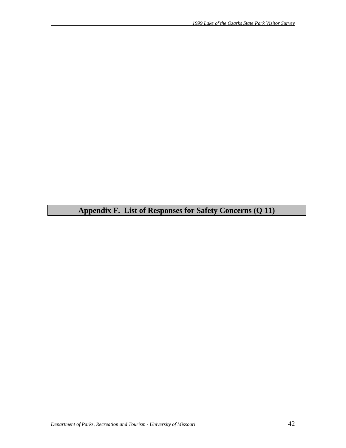# **Appendix F. List of Responses for Safety Concerns (Q 11)**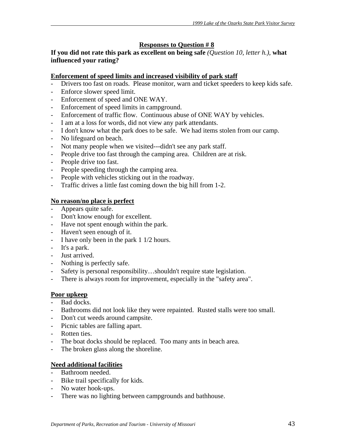# **Responses to Question # 8**

# **If you did not rate this park as excellent on being safe** *(Question 10, letter h.),* **what influenced your rating?**

# **Enforcement of speed limits and increased visibility of park staff**

- Drivers too fast on roads. Please monitor, warn and ticket speeders to keep kids safe.
- Enforce slower speed limit.
- Enforcement of speed and ONE WAY.
- Enforcement of speed limits in campground.
- Enforcement of traffic flow. Continuous abuse of ONE WAY by vehicles.
- I am at a loss for words, did not view any park attendants.
- I don't know what the park does to be safe. We had items stolen from our camp.
- No lifeguard on beach.
- Not many people when we visited---didn't see any park staff.
- People drive too fast through the camping area. Children are at risk.
- People drive too fast.
- People speeding through the camping area.
- People with vehicles sticking out in the roadway.
- Traffic drives a little fast coming down the big hill from 1-2.

# **No reason/no place is perfect**

- Appears quite safe.
- Don't know enough for excellent.
- Have not spent enough within the park.
- Haven't seen enough of it.
- I have only been in the park 1 1/2 hours.
- It's a park.
- Just arrived.
- Nothing is perfectly safe.
- Safety is personal responsibility...shouldn't require state legislation.
- There is always room for improvement, especially in the "safety area".

# **Poor upkeep**

- Bad docks.
- Bathrooms did not look like they were repainted. Rusted stalls were too small.
- Don't cut weeds around campsite.
- Picnic tables are falling apart.
- Rotten ties.
- The boat docks should be replaced. Too many ants in beach area.
- The broken glass along the shoreline.

# **Need additional facilities**

- Bathroom needed.
- Bike trail specifically for kids.
- No water hook-ups.
- There was no lighting between campgrounds and bathhouse.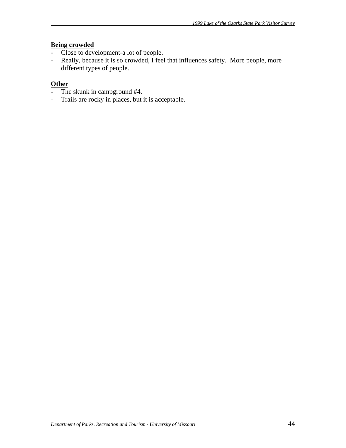# **Being crowded**

- Close to development-a lot of people.
- Really, because it is so crowded, I feel that influences safety. More people, more different types of people.

# **Other**

- The skunk in campground #4.
- Trails are rocky in places, but it is acceptable.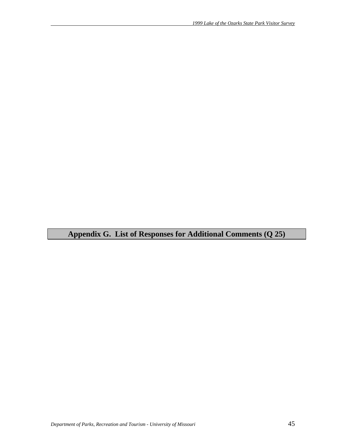**Appendix G. List of Responses for Additional Comments (Q 25)**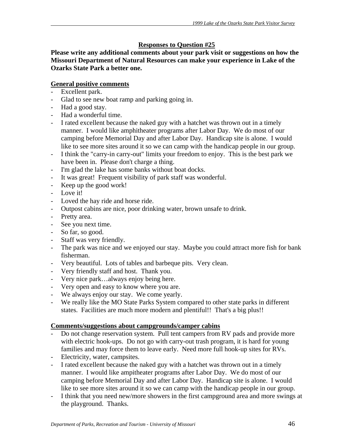# **Responses to Question #25**

**Please write any additional comments about your park visit or suggestions on how the Missouri Department of Natural Resources can make your experience in Lake of the Ozarks State Park a better one.** 

# **General positive comments**

- Excellent park.
- Glad to see new boat ramp and parking going in.
- Had a good stay.
- Had a wonderful time.
- I rated excellent because the naked guy with a hatchet was thrown out in a timely manner. I would like amphitheater programs after Labor Day. We do most of our camping before Memorial Day and after Labor Day. Handicap site is alone. I would like to see more sites around it so we can camp with the handicap people in our group.
- I think the "carry-in carry-out" limits your freedom to enjoy. This is the best park we have been in. Please don't charge a thing.
- I'm glad the lake has some banks without boat docks.
- It was great! Frequent visibility of park staff was wonderful.
- Keep up the good work!
- Love it!
- Loved the hay ride and horse ride.
- Outpost cabins are nice, poor drinking water, brown unsafe to drink.
- Pretty area.
- See you next time.
- So far, so good.
- Staff was very friendly.
- The park was nice and we enjoyed our stay. Maybe you could attract more fish for bank fisherman.
- Very beautiful. Lots of tables and barbeque pits. Very clean.
- Very friendly staff and host. Thank you.
- Very nice park…always enjoy being here.
- Very open and easy to know where you are.
- We always enjoy our stay. We come yearly.
- We really like the MO State Parks System compared to other state parks in different states. Facilities are much more modern and plentiful!! That's a big plus!!

## **Comments/suggestions about campgrounds/camper cabins**

- Do not change reservation system. Pull tent campers from RV pads and provide more with electric hook-ups. Do not go with carry-out trash program, it is hard for young families and may force them to leave early. Need more full hook-up sites for RVs.
- Electricity, water, campsites.
- I rated excellent because the naked guy with a hatchet was thrown out in a timely manner. I would like ampitheater programs after Labor Day. We do most of our camping before Memorial Day and after Labor Day. Handicap site is alone. I would like to see more sites around it so we can camp with the handicap people in our group.
- I think that you need new/more showers in the first campground area and more swings at the playground. Thanks.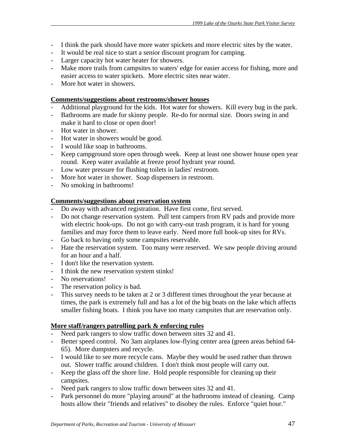- I think the park should have more water spickets and more electric sites by the water.
- It would be real nice to start a senior discount program for camping.
- Larger capacity hot water heater for showers.
- Make more trails from campsites to waters' edge for easier access for fishing, more and easier access to water spickets. More electric sites near water.
- More hot water in showers.

### **Comments/suggestions about restrooms/shower houses**

- Additional playground for the kids. Hot water for showers. Kill every bug in the park.
- Bathrooms are made for skinny people. Re-do for normal size. Doors swing in and make it hard to close or open door!
- Hot water in shower.
- Hot water in showers would be good.
- I would like soap in bathrooms.
- Keep campground store open through week. Keep at least one shower house open year round. Keep water available at freeze proof hydrant year round.
- Low water pressure for flushing toilets in ladies' restroom.
- More hot water in shower. Soap dispensers in restroom.
- No smoking in bathrooms!

### **Comments/suggestions about reservation system**

- Do away with advanced registration. Have first come, first served.
- Do not change reservation system. Pull tent campers from RV pads and provide more with electric hook-ups. Do not go with carry-out trash program, it is hard for young families and may force them to leave early. Need more full hook-up sites for RVs.
- Go back to having only some campsites reservable.
- Hate the reservation system. Too many were reserved. We saw people driving around for an hour and a half.
- I don't like the reservation system.
- I think the new reservation system stinks!
- No reservations!
- The reservation policy is bad.
- This survey needs to be taken at 2 or 3 different times throughout the year because at times, the park is extremely full and has a lot of the big boats on the lake which affects smaller fishing boats. I think you have too many campsites that are reservation only.

## **More staff/rangers patrolling park & enforcing rules**

- Need park rangers to slow traffic down between sites 32 and 41.
- Better speed control. No 3am airplanes low-flying center area (green areas behind 64- 65). More dumpsters and recycle.
- I would like to see more recycle cans. Maybe they would be used rather than thrown out. Slower traffic around children. I don't think most people will carry out.
- Keep the glass off the shore line. Hold people responsible for cleaning up their campsites.
- Need park rangers to slow traffic down between sites 32 and 41.
- Park personnel do more "playing around" at the bathrooms instead of cleaning. Camp hosts allow their "friends and relatives" to disobey the rules. Enforce "quiet hour."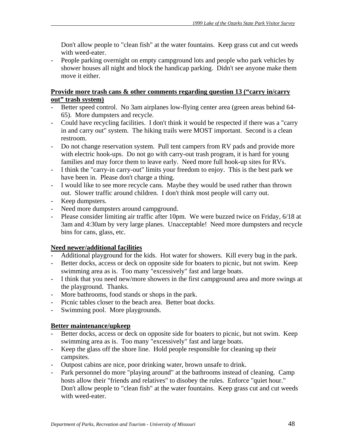Don't allow people to "clean fish" at the water fountains. Keep grass cut and cut weeds with weed-eater.

- People parking overnight on empty campground lots and people who park vehicles by shower houses all night and block the handicap parking. Didn't see anyone make them move it either.

# **Provide more trash cans & other comments regarding question 13 ("carry in/carry out" trash system)**

- Better speed control. No 3am airplanes low-flying center area (green areas behind 64-65). More dumpsters and recycle.
- Could have recycling facilities. I don't think it would be respected if there was a "carry in and carry out" system. The hiking trails were MOST important. Second is a clean restroom.
- Do not change reservation system. Pull tent campers from RV pads and provide more with electric hook-ups. Do not go with carry-out trash program, it is hard for young families and may force them to leave early. Need more full hook-up sites for RVs.
- I think the "carry-in carry-out" limits your freedom to enjoy. This is the best park we have been in. Please don't charge a thing.
- I would like to see more recycle cans. Maybe they would be used rather than thrown out. Slower traffic around children. I don't think most people will carry out.
- Keep dumpsters.
- Need more dumpsters around campground.
- Please consider limiting air traffic after 10pm. We were buzzed twice on Friday, 6/18 at 3am and 4:30am by very large planes. Unacceptable! Need more dumpsters and recycle bins for cans, glass, etc.

# **Need newer/additional facilities**

- Additional playground for the kids. Hot water for showers. Kill every bug in the park.
- Better docks, access or deck on opposite side for boaters to picnic, but not swim. Keep swimming area as is. Too many "excessively" fast and large boats.
- I think that you need new/more showers in the first campground area and more swings at the playground. Thanks.
- More bathrooms, food stands or shops in the park.
- Picnic tables closer to the beach area. Better boat docks.
- Swimming pool. More playgrounds.

# **Better maintenance/upkeep**

- Better docks, access or deck on opposite side for boaters to picnic, but not swim. Keep swimming area as is. Too many "excessively" fast and large boats.
- Keep the glass off the shore line. Hold people responsible for cleaning up their campsites.
- Outpost cabins are nice, poor drinking water, brown unsafe to drink.
- Park personnel do more "playing around" at the bathrooms instead of cleaning. Camp hosts allow their "friends and relatives" to disobey the rules. Enforce "quiet hour." Don't allow people to "clean fish" at the water fountains. Keep grass cut and cut weeds with weed-eater.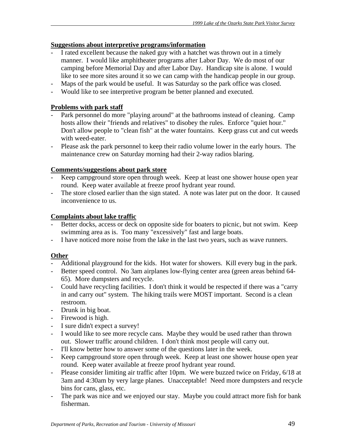# **Suggestions about interpretive programs/information**

- I rated excellent because the naked guy with a hatchet was thrown out in a timely manner. I would like amphitheater programs after Labor Day. We do most of our camping before Memorial Day and after Labor Day. Handicap site is alone. I would like to see more sites around it so we can camp with the handicap people in our group.
- Maps of the park would be useful. It was Saturday so the park office was closed.
- Would like to see interpretive program be better planned and executed.

# **Problems with park staff**

- Park personnel do more "playing around" at the bathrooms instead of cleaning. Camp hosts allow their "friends and relatives" to disobey the rules. Enforce "quiet hour." Don't allow people to "clean fish" at the water fountains. Keep grass cut and cut weeds with weed-eater.
- Please ask the park personnel to keep their radio volume lower in the early hours. The maintenance crew on Saturday morning had their 2-way radios blaring.

# **Comments/suggestions about park store**

- Keep campground store open through week. Keep at least one shower house open year round. Keep water available at freeze proof hydrant year round.
- The store closed earlier than the sign stated. A note was later put on the door. It caused inconvenience to us.

## **Complaints about lake traffic**

- Better docks, access or deck on opposite side for boaters to picnic, but not swim. Keep swimming area as is. Too many "excessively" fast and large boats.
- I have noticed more noise from the lake in the last two years, such as wave runners.

# **Other**

- Additional playground for the kids. Hot water for showers. Kill every bug in the park.
- Better speed control. No 3am airplanes low-flying center area (green areas behind 64-65). More dumpsters and recycle.
- Could have recycling facilities. I don't think it would be respected if there was a "carry in and carry out" system. The hiking trails were MOST important. Second is a clean restroom.
- Drunk in big boat.
- Firewood is high.
- I sure didn't expect a survey!
- I would like to see more recycle cans. Maybe they would be used rather than thrown out. Slower traffic around children. I don't think most people will carry out.
- I'll know better how to answer some of the questions later in the week.
- Keep campground store open through week. Keep at least one shower house open year round. Keep water available at freeze proof hydrant year round.
- Please consider limiting air traffic after 10pm. We were buzzed twice on Friday, 6/18 at 3am and 4:30am by very large planes. Unacceptable! Need more dumpsters and recycle bins for cans, glass, etc.
- The park was nice and we enjoyed our stay. Maybe you could attract more fish for bank fisherman.